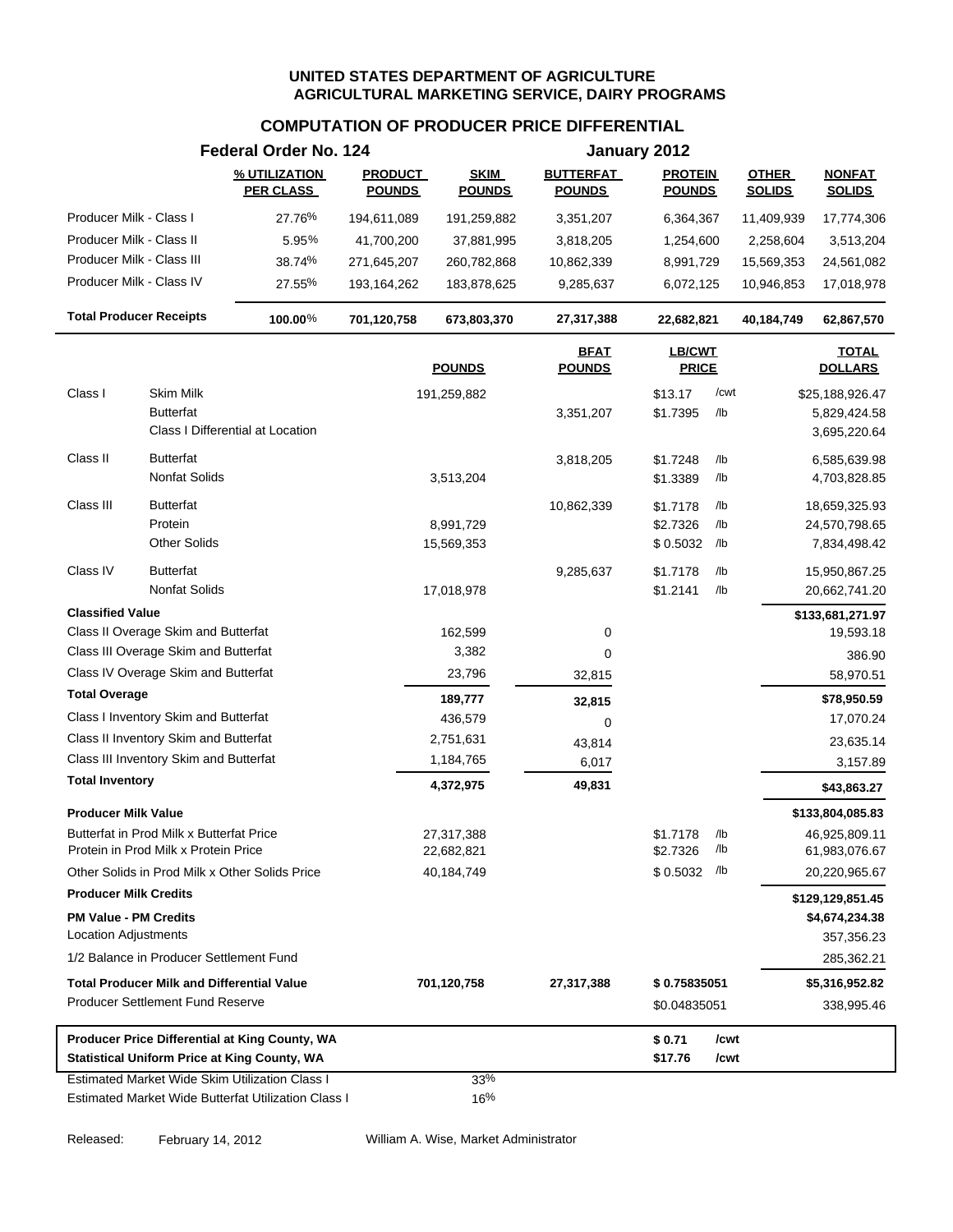### **COMPUTATION OF PRODUCER PRICE DIFFERENTIAL**

|                                                     | Federal Order No. 124             |                                 |                              |                                   | January 2012                    |            |                               |                                |
|-----------------------------------------------------|-----------------------------------|---------------------------------|------------------------------|-----------------------------------|---------------------------------|------------|-------------------------------|--------------------------------|
|                                                     | % UTILIZATION<br><b>PER CLASS</b> | <b>PRODUCT</b><br><b>POUNDS</b> | <b>SKIM</b><br><b>POUNDS</b> | <b>BUTTERFAT</b><br><b>POUNDS</b> | <b>PROTEIN</b><br><b>POUNDS</b> |            | <b>OTHER</b><br><b>SOLIDS</b> | <b>NONFAT</b><br><b>SOLIDS</b> |
| Producer Milk - Class I                             | 27.76%                            | 194,611,089                     | 191,259,882                  | 3,351,207                         | 6,364,367                       |            | 11,409,939                    | 17,774,306                     |
| Producer Milk - Class II                            | 5.95%                             | 41,700,200                      | 37,881,995                   | 3,818,205                         | 1,254,600                       |            | 2,258,604                     | 3,513,204                      |
| Producer Milk - Class III                           | 38.74%                            | 271,645,207                     | 260,782,868                  | 10,862,339                        | 8,991,729                       |            | 15,569,353                    | 24,561,082                     |
| Producer Milk - Class IV                            | 27.55%                            | 193,164,262                     | 183,878,625                  | 9,285,637                         | 6,072,125                       |            | 10,946,853                    | 17,018,978                     |
| <b>Total Producer Receipts</b>                      | 100.00%                           | 701,120,758                     | 673,803,370                  | 27,317,388                        | 22,682,821                      |            | 40,184,749                    | 62,867,570                     |
|                                                     |                                   |                                 | <b>POUNDS</b>                | <b>BFAT</b><br><b>POUNDS</b>      | <b>LB/CWT</b><br><b>PRICE</b>   |            |                               | <b>TOTAL</b><br><b>DOLLARS</b> |
| Class I<br>Skim Milk                                |                                   |                                 | 191,259,882                  |                                   | \$13.17                         | /cwt       |                               | \$25,188,926.47                |
| <b>Butterfat</b>                                    |                                   |                                 |                              | 3,351,207                         | \$1.7395                        | /lb        |                               | 5,829,424.58                   |
| Class I Differential at Location                    |                                   |                                 |                              |                                   |                                 |            |                               | 3,695,220.64                   |
| Class II<br><b>Butterfat</b>                        |                                   |                                 |                              | 3,818,205                         | \$1.7248                        | /lb        |                               | 6,585,639.98                   |
| <b>Nonfat Solids</b>                                |                                   |                                 | 3,513,204                    |                                   | \$1.3389                        | /lb        |                               | 4,703,828.85                   |
| Class III<br><b>Butterfat</b>                       |                                   |                                 |                              |                                   |                                 |            |                               | 18,659,325.93                  |
| Protein                                             |                                   |                                 | 8,991,729                    | 10,862,339                        | \$1.7178<br>\$2.7326            | /lb<br>/lb |                               | 24,570,798.65                  |
| <b>Other Solids</b>                                 |                                   |                                 | 15,569,353                   |                                   | \$0.5032                        | /lb        |                               | 7,834,498.42                   |
| Class IV<br><b>Butterfat</b>                        |                                   |                                 |                              | 9,285,637                         | \$1.7178                        | /lb        |                               | 15,950,867.25                  |
| <b>Nonfat Solids</b>                                |                                   |                                 | 17,018,978                   |                                   | \$1.2141                        | /lb        |                               | 20,662,741.20                  |
| <b>Classified Value</b>                             |                                   |                                 |                              |                                   |                                 |            |                               | \$133,681,271.97               |
| Class II Overage Skim and Butterfat                 |                                   |                                 | 162,599                      | 0                                 |                                 |            |                               | 19,593.18                      |
| Class III Overage Skim and Butterfat                |                                   |                                 | 3,382                        | 0                                 |                                 |            |                               | 386.90                         |
| Class IV Overage Skim and Butterfat                 |                                   |                                 | 23,796                       | 32,815                            |                                 |            |                               | 58,970.51                      |
| <b>Total Overage</b>                                |                                   |                                 | 189,777                      | 32,815                            |                                 |            |                               | \$78,950.59                    |
| Class I Inventory Skim and Butterfat                |                                   |                                 | 436,579                      | 0                                 |                                 |            |                               | 17,070.24                      |
| Class II Inventory Skim and Butterfat               |                                   |                                 | 2,751,631                    | 43,814                            |                                 |            |                               | 23,635.14                      |
| Class III Inventory Skim and Butterfat              |                                   |                                 | 1,184,765                    | 6,017                             |                                 |            |                               | 3,157.89                       |
| <b>Total Inventory</b>                              |                                   |                                 | 4,372,975                    | 49,831                            |                                 |            |                               | \$43,863.27                    |
| <b>Producer Milk Value</b>                          |                                   |                                 |                              |                                   |                                 |            |                               | \$133,804,085.83               |
| Butterfat in Prod Milk x Butterfat Price            |                                   |                                 | 27,317,388                   |                                   | \$1.7178                        | /lb        |                               | 46,925,809.11                  |
| Protein in Prod Milk x Protein Price                |                                   |                                 | 22,682,821                   |                                   | \$2.7326                        | /lb        |                               | 61,983,076.67                  |
| Other Solids in Prod Milk x Other Solids Price      |                                   |                                 | 40,184,749                   |                                   | \$0.5032                        | /lb        |                               | 20,220,965.67                  |
| <b>Producer Milk Credits</b>                        |                                   |                                 |                              |                                   |                                 |            |                               | \$129,129,851.45               |
| <b>PM Value - PM Credits</b>                        |                                   |                                 |                              |                                   |                                 |            |                               | \$4,674,234.38                 |
| <b>Location Adjustments</b>                         |                                   |                                 |                              |                                   |                                 |            |                               | 357,356.23                     |
| 1/2 Balance in Producer Settlement Fund             |                                   |                                 |                              |                                   |                                 |            |                               | 285,362.21                     |
| <b>Total Producer Milk and Differential Value</b>   |                                   |                                 | 701,120,758                  | 27,317,388                        | \$0.75835051                    |            |                               | \$5,316,952.82                 |
| <b>Producer Settlement Fund Reserve</b>             |                                   |                                 |                              |                                   | \$0.04835051                    |            |                               | 338,995.46                     |
| Producer Price Differential at King County, WA      |                                   |                                 |                              |                                   | \$0.71                          | /cwt       |                               |                                |
| <b>Statistical Uniform Price at King County, WA</b> |                                   |                                 |                              |                                   | \$17.76                         | /cwt       |                               |                                |
| Estimated Market Wide Skim Utilization Class I      |                                   |                                 | 33%                          |                                   |                                 |            |                               |                                |
| Estimated Market Wide Butterfat Utilization Class I |                                   |                                 | 16%                          |                                   |                                 |            |                               |                                |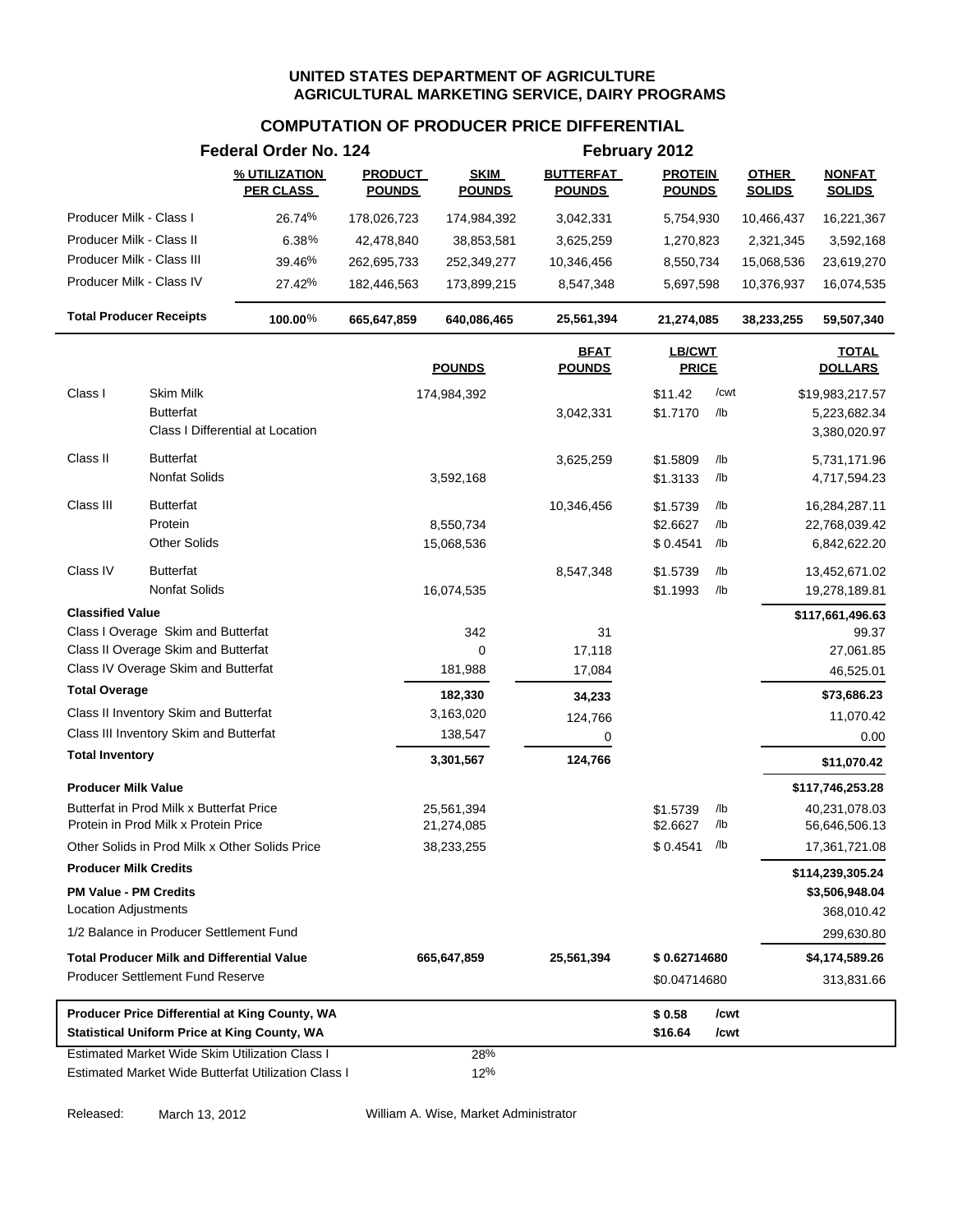### **COMPUTATION OF PRODUCER PRICE DIFFERENTIAL**

|                                                                                  | Federal Order No. 124             |                                 |                              |                                   | February 2012                   |            |                               |                                |
|----------------------------------------------------------------------------------|-----------------------------------|---------------------------------|------------------------------|-----------------------------------|---------------------------------|------------|-------------------------------|--------------------------------|
|                                                                                  | % UTILIZATION<br><b>PER CLASS</b> | <b>PRODUCT</b><br><b>POUNDS</b> | <b>SKIM</b><br><b>POUNDS</b> | <b>BUTTERFAT</b><br><b>POUNDS</b> | <b>PROTEIN</b><br><b>POUNDS</b> |            | <b>OTHER</b><br><b>SOLIDS</b> | <b>NONFAT</b><br><b>SOLIDS</b> |
| Producer Milk - Class I                                                          | 26.74%                            | 178,026,723                     | 174,984,392                  | 3,042,331                         | 5,754,930                       |            | 10,466,437                    | 16,221,367                     |
| Producer Milk - Class II                                                         | 6.38%                             | 42,478,840                      | 38,853,581                   | 3,625,259                         | 1,270,823                       |            | 2,321,345                     | 3,592,168                      |
| Producer Milk - Class III                                                        | 39.46%                            | 262,695,733                     | 252,349,277                  | 10,346,456                        | 8,550,734                       |            | 15,068,536                    | 23,619,270                     |
| Producer Milk - Class IV                                                         | 27.42%                            | 182,446,563                     | 173,899,215                  | 8,547,348                         | 5,697,598                       |            | 10,376,937                    | 16,074,535                     |
| <b>Total Producer Receipts</b>                                                   | 100.00%                           | 665,647,859                     | 640,086,465                  | 25,561,394                        | 21,274,085                      |            | 38,233,255                    | 59,507,340                     |
|                                                                                  |                                   |                                 | <b>POUNDS</b>                | <b>BFAT</b><br><b>POUNDS</b>      | <b>LB/CWT</b><br><b>PRICE</b>   |            |                               | <b>TOTAL</b><br><b>DOLLARS</b> |
| Class I<br>Skim Milk                                                             |                                   |                                 | 174,984,392                  |                                   | \$11.42                         | /cwt       |                               | \$19,983,217.57                |
| <b>Butterfat</b>                                                                 |                                   |                                 |                              | 3,042,331                         | \$1.7170                        | /lb        |                               | 5,223,682.34                   |
| Class I Differential at Location                                                 |                                   |                                 |                              |                                   |                                 |            |                               | 3,380,020.97                   |
| Class II<br><b>Butterfat</b>                                                     |                                   |                                 |                              | 3,625,259                         | \$1.5809                        | /lb        |                               | 5,731,171.96                   |
| <b>Nonfat Solids</b>                                                             |                                   |                                 | 3,592,168                    |                                   | \$1.3133                        | /lb        |                               | 4,717,594.23                   |
| Class III<br><b>Butterfat</b>                                                    |                                   |                                 |                              | 10,346,456                        | \$1.5739                        | /lb        |                               | 16,284,287.11                  |
| Protein                                                                          |                                   |                                 | 8,550,734                    |                                   | \$2.6627                        | /lb        |                               | 22,768,039.42                  |
| <b>Other Solids</b>                                                              |                                   |                                 | 15,068,536                   |                                   | \$0.4541                        | /lb        |                               | 6,842,622.20                   |
| Class IV<br><b>Butterfat</b>                                                     |                                   |                                 |                              | 8,547,348                         | \$1.5739                        | /lb        |                               | 13,452,671.02                  |
| <b>Nonfat Solids</b>                                                             |                                   |                                 | 16,074,535                   |                                   | \$1.1993                        | /lb        |                               | 19,278,189.81                  |
| <b>Classified Value</b>                                                          |                                   |                                 |                              |                                   |                                 |            |                               | \$117,661,496.63               |
| Class I Overage Skim and Butterfat                                               |                                   |                                 | 342                          | 31                                |                                 |            |                               | 99.37                          |
| Class II Overage Skim and Butterfat                                              |                                   |                                 | 0                            | 17,118                            |                                 |            |                               | 27,061.85                      |
| Class IV Overage Skim and Butterfat<br><b>Total Overage</b>                      |                                   |                                 | 181,988                      | 17,084                            |                                 |            |                               | 46,525.01                      |
|                                                                                  |                                   |                                 | 182,330                      | 34,233                            |                                 |            |                               | \$73,686.23                    |
| Class II Inventory Skim and Butterfat<br>Class III Inventory Skim and Butterfat  |                                   |                                 | 3,163,020                    | 124,766                           |                                 |            |                               | 11,070.42                      |
| <b>Total Inventory</b>                                                           |                                   |                                 | 138,547                      | 0                                 |                                 |            |                               | 0.00                           |
|                                                                                  |                                   |                                 | 3,301,567                    | 124,766                           |                                 |            |                               | \$11,070.42                    |
| <b>Producer Milk Value</b>                                                       |                                   |                                 |                              |                                   |                                 |            |                               | \$117,746,253.28               |
| Butterfat in Prod Milk x Butterfat Price<br>Protein in Prod Milk x Protein Price |                                   |                                 | 25,561,394<br>21,274,085     |                                   | \$1.5739<br>\$2.6627            | /lb<br>/lb |                               | 40,231,078.03<br>56,646,506.13 |
| Other Solids in Prod Milk x Other Solids Price                                   |                                   |                                 | 38,233,255                   |                                   | $$0.4541$ /lb                   |            |                               | 17,361,721.08                  |
| <b>Producer Milk Credits</b>                                                     |                                   |                                 |                              |                                   |                                 |            |                               | \$114,239,305.24               |
| <b>PM Value - PM Credits</b>                                                     |                                   |                                 |                              |                                   |                                 |            |                               | \$3,506,948.04                 |
| Location Adjustments                                                             |                                   |                                 |                              |                                   |                                 |            |                               | 368,010.42                     |
| 1/2 Balance in Producer Settlement Fund                                          |                                   |                                 |                              |                                   |                                 |            |                               | 299,630.80                     |
| <b>Total Producer Milk and Differential Value</b>                                |                                   |                                 | 665,647,859                  | 25,561,394                        | \$0.62714680                    |            |                               | \$4,174,589.26                 |
| <b>Producer Settlement Fund Reserve</b>                                          |                                   |                                 |                              |                                   | \$0.04714680                    |            |                               | 313,831.66                     |
| Producer Price Differential at King County, WA                                   |                                   |                                 |                              |                                   | \$0.58                          | /cwt       |                               |                                |
| <b>Statistical Uniform Price at King County, WA</b>                              |                                   |                                 |                              |                                   | \$16.64                         | /cwt       |                               |                                |
| <b>Estimated Market Wide Skim Utilization Class I</b>                            |                                   |                                 | 28%                          |                                   |                                 |            |                               |                                |
| Estimated Market Wide Butterfat Utilization Class I                              |                                   |                                 | 12%                          |                                   |                                 |            |                               |                                |

Released: March 13, 2012 William A. Wise, Market Administrator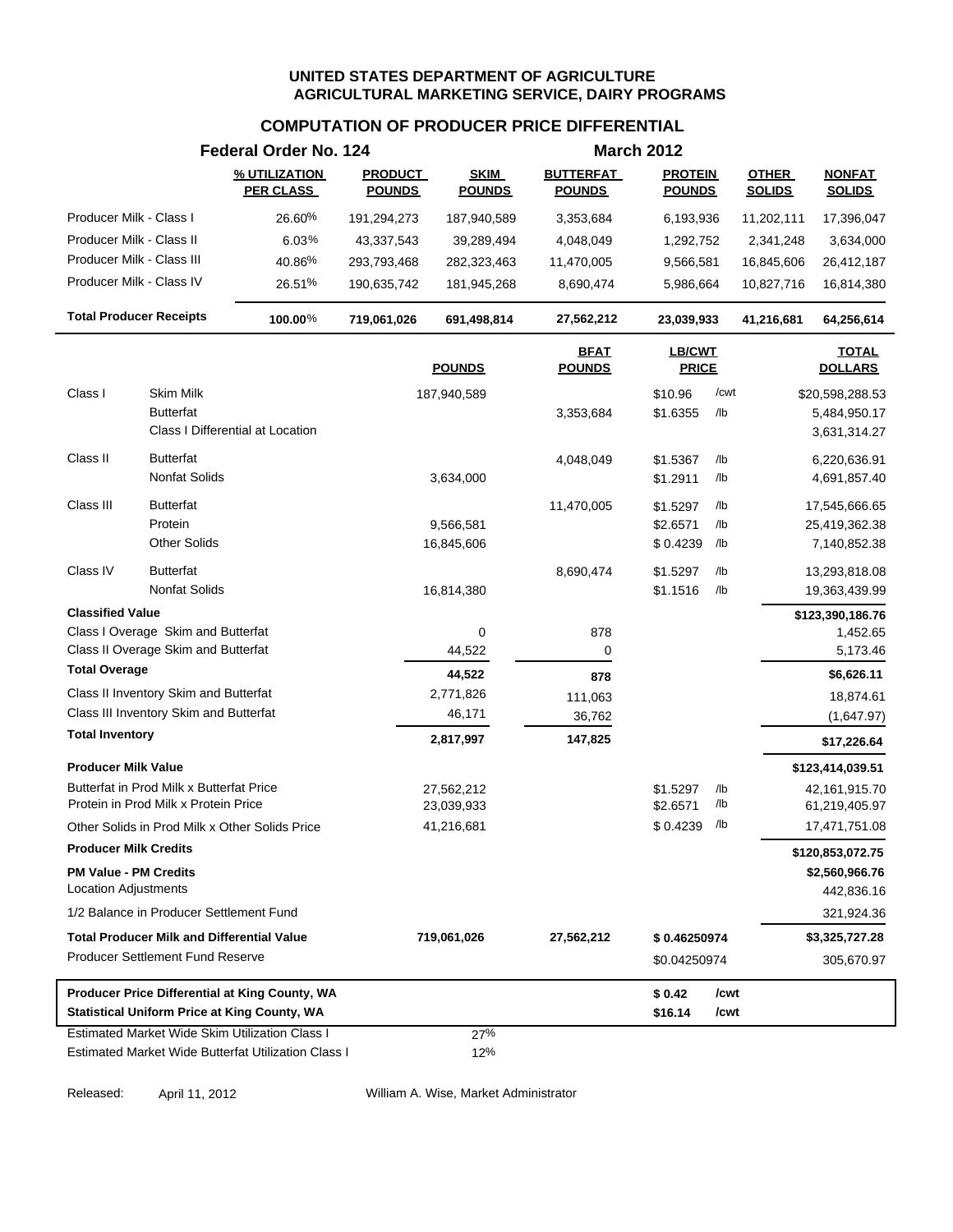### **COMPUTATION OF PRODUCER PRICE DIFFERENTIAL**

|                                                      |                                                                                  | Federal Order No. 124                                                                                 |                                 |                              |                                   | <b>March 2012</b>               |             |                               |                                 |
|------------------------------------------------------|----------------------------------------------------------------------------------|-------------------------------------------------------------------------------------------------------|---------------------------------|------------------------------|-----------------------------------|---------------------------------|-------------|-------------------------------|---------------------------------|
|                                                      |                                                                                  | % UTILIZATION<br><b>PER CLASS</b>                                                                     | <b>PRODUCT</b><br><b>POUNDS</b> | <b>SKIM</b><br><b>POUNDS</b> | <b>BUTTERFAT</b><br><b>POUNDS</b> | <b>PROTEIN</b><br><b>POUNDS</b> |             | <b>OTHER</b><br><b>SOLIDS</b> | <b>NONFAT</b><br><b>SOLIDS</b>  |
| Producer Milk - Class I                              |                                                                                  | 26.60%                                                                                                | 191,294,273                     | 187,940,589                  | 3,353,684                         | 6,193,936                       |             | 11,202,111                    | 17,396,047                      |
| Producer Milk - Class II                             |                                                                                  | 6.03%                                                                                                 | 43,337,543                      | 39,289,494                   | 4,048,049                         | 1,292,752                       |             | 2,341,248                     | 3,634,000                       |
| Producer Milk - Class III                            |                                                                                  | 40.86%                                                                                                | 293,793,468                     | 282,323,463                  | 11,470,005                        | 9,566,581                       |             | 16,845,606                    | 26,412,187                      |
| Producer Milk - Class IV                             |                                                                                  | 26.51%                                                                                                | 190,635,742                     | 181,945,268                  | 8,690,474                         | 5,986,664                       |             | 10,827,716                    | 16,814,380                      |
|                                                      | <b>Total Producer Receipts</b>                                                   | 100.00%                                                                                               | 719,061,026                     | 691,498,814                  | 27,562,212                        | 23,039,933                      |             | 41,216,681                    | 64,256,614                      |
|                                                      |                                                                                  |                                                                                                       |                                 | <b>POUNDS</b>                | <b>BFAT</b><br><b>POUNDS</b>      | LB/CWT<br><b>PRICE</b>          |             |                               | <b>TOTAL</b><br><b>DOLLARS</b>  |
| Class I                                              | <b>Skim Milk</b><br><b>Butterfat</b>                                             |                                                                                                       |                                 | 187,940,589                  | 3,353,684                         | \$10.96<br>\$1.6355             | /cwt<br>/lb |                               | \$20,598,288.53<br>5,484,950.17 |
|                                                      |                                                                                  | Class I Differential at Location                                                                      |                                 |                              |                                   |                                 |             |                               | 3,631,314.27                    |
| Class II                                             | <b>Butterfat</b><br><b>Nonfat Solids</b>                                         |                                                                                                       |                                 | 3,634,000                    | 4,048,049                         | \$1.5367<br>\$1.2911            | /lb<br>/lb  |                               | 6,220,636.91<br>4,691,857.40    |
| Class III                                            | <b>Butterfat</b>                                                                 |                                                                                                       |                                 |                              | 11,470,005                        | \$1.5297                        | /lb         |                               | 17,545,666.65                   |
|                                                      | Protein                                                                          |                                                                                                       |                                 | 9,566,581                    |                                   | \$2.6571                        | /lb         |                               | 25,419,362.38                   |
|                                                      | <b>Other Solids</b>                                                              |                                                                                                       |                                 | 16,845,606                   |                                   | \$0.4239                        | /lb         |                               | 7,140,852.38                    |
| Class IV                                             | <b>Butterfat</b><br><b>Nonfat Solids</b>                                         |                                                                                                       |                                 | 16,814,380                   | 8,690,474                         | \$1.5297<br>\$1.1516            | /lb<br>/lb  |                               | 13,293,818.08<br>19,363,439.99  |
| <b>Classified Value</b>                              |                                                                                  |                                                                                                       |                                 |                              |                                   |                                 |             |                               | \$123,390,186.76                |
|                                                      | Class I Overage Skim and Butterfat                                               |                                                                                                       |                                 | 0                            | 878                               |                                 |             |                               | 1,452.65                        |
|                                                      | Class II Overage Skim and Butterfat                                              |                                                                                                       |                                 | 44,522                       | 0                                 |                                 |             |                               | 5,173.46                        |
| <b>Total Overage</b>                                 |                                                                                  |                                                                                                       |                                 | 44,522                       | 878                               |                                 |             |                               | \$6,626.11                      |
|                                                      | Class II Inventory Skim and Butterfat                                            |                                                                                                       |                                 | 2,771,826                    | 111,063                           |                                 |             |                               | 18,874.61                       |
|                                                      | Class III Inventory Skim and Butterfat                                           |                                                                                                       |                                 | 46,171                       | 36,762                            |                                 |             |                               | (1,647.97)                      |
| <b>Total Inventory</b>                               |                                                                                  |                                                                                                       |                                 | 2,817,997                    | 147,825                           |                                 |             |                               | \$17,226.64                     |
| <b>Producer Milk Value</b>                           |                                                                                  |                                                                                                       |                                 |                              |                                   |                                 |             |                               | \$123,414,039.51                |
|                                                      | Butterfat in Prod Milk x Butterfat Price<br>Protein in Prod Milk x Protein Price |                                                                                                       |                                 | 27,562,212<br>23,039,933     |                                   | \$1.5297<br>\$2.6571            | /lb<br>/lb  |                               | 42,161,915.70<br>61,219,405.97  |
|                                                      |                                                                                  | Other Solids in Prod Milk x Other Solids Price                                                        |                                 | 41,216,681                   |                                   | \$0.4239                        | /lb         |                               | 17,471,751.08                   |
| <b>Producer Milk Credits</b>                         |                                                                                  |                                                                                                       |                                 |                              |                                   |                                 |             |                               | \$120,853,072.75                |
| <b>PM Value - PM Credits</b><br>Location Adjustments |                                                                                  |                                                                                                       |                                 |                              |                                   |                                 |             |                               | \$2,560,966.76<br>442,836.16    |
|                                                      | 1/2 Balance in Producer Settlement Fund                                          |                                                                                                       |                                 |                              |                                   |                                 |             |                               | 321,924.36                      |
|                                                      | <b>Total Producer Milk and Differential Value</b>                                |                                                                                                       |                                 | 719,061,026                  | 27,562,212                        | \$0.46250974                    |             |                               | \$3,325,727.28                  |
|                                                      | <b>Producer Settlement Fund Reserve</b>                                          |                                                                                                       |                                 |                              |                                   | \$0.04250974                    |             |                               | 305,670.97                      |
|                                                      |                                                                                  | Producer Price Differential at King County, WA                                                        |                                 |                              |                                   | \$0.42                          | /cwt        |                               |                                 |
|                                                      |                                                                                  | <b>Statistical Uniform Price at King County, WA</b>                                                   |                                 |                              |                                   | \$16.14                         | /cwt        |                               |                                 |
|                                                      |                                                                                  | Estimated Market Wide Skim Utilization Class I<br>Estimated Market Wide Butterfat Utilization Class I |                                 | 27%<br>12%                   |                                   |                                 |             |                               |                                 |

Released: April 11, 2012 William A. Wise, Market Administrator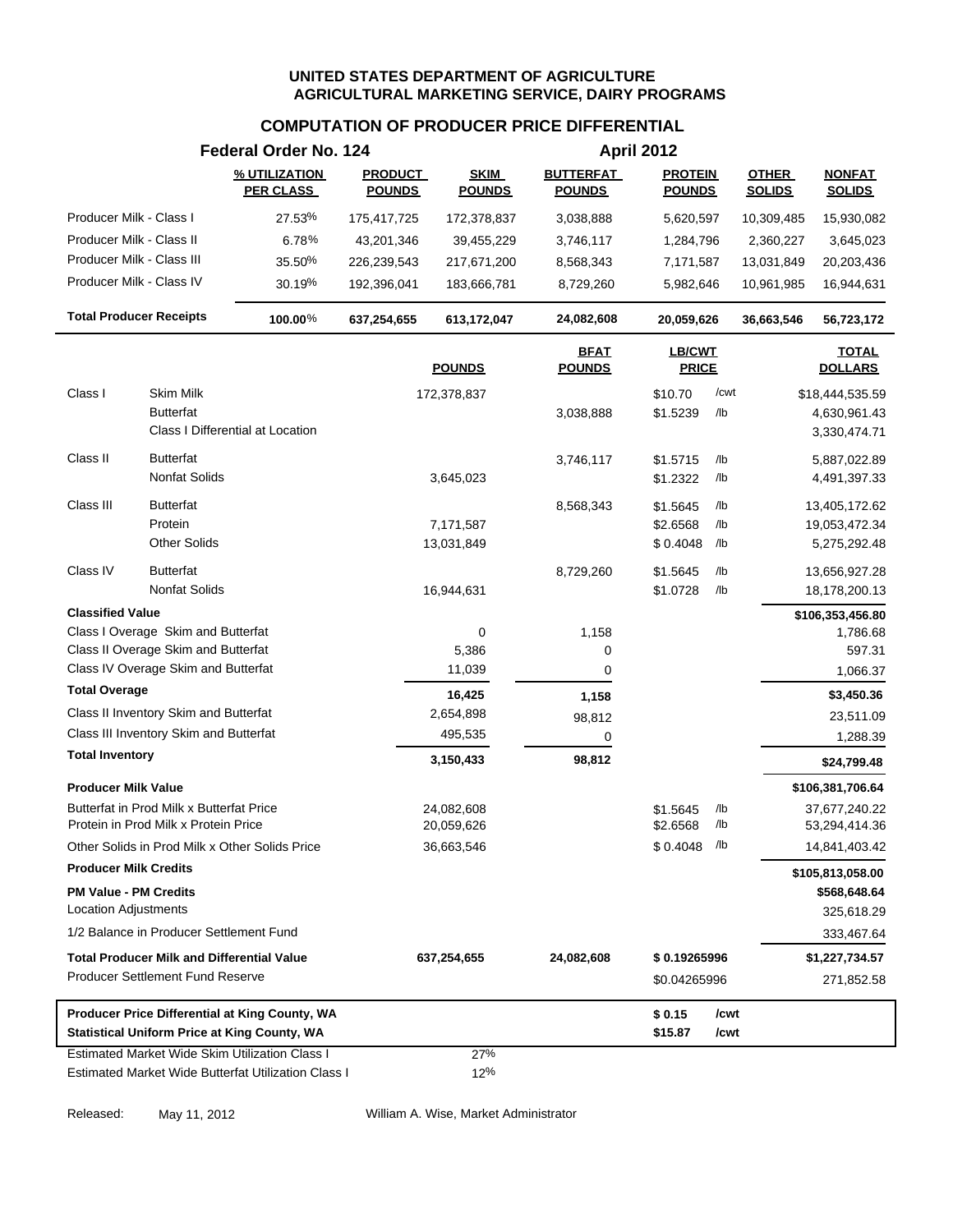### **COMPUTATION OF PRODUCER PRICE DIFFERENTIAL**

|                                                      |                                                                                  | Federal Order No. 124                                                                                        |                                 |                              |                                   | <b>April 2012</b>               |            |                               |                                |
|------------------------------------------------------|----------------------------------------------------------------------------------|--------------------------------------------------------------------------------------------------------------|---------------------------------|------------------------------|-----------------------------------|---------------------------------|------------|-------------------------------|--------------------------------|
|                                                      |                                                                                  | % UTILIZATION<br><b>PER CLASS</b>                                                                            | <b>PRODUCT</b><br><b>POUNDS</b> | <b>SKIM</b><br><b>POUNDS</b> | <b>BUTTERFAT</b><br><b>POUNDS</b> | <b>PROTEIN</b><br><b>POUNDS</b> |            | <b>OTHER</b><br><b>SOLIDS</b> | <b>NONFAT</b><br><b>SOLIDS</b> |
| Producer Milk - Class I                              |                                                                                  | 27.53%                                                                                                       | 175,417,725                     | 172,378,837                  | 3,038,888                         | 5,620,597                       |            | 10,309,485                    | 15,930,082                     |
| Producer Milk - Class II                             |                                                                                  | 6.78%                                                                                                        | 43,201,346                      | 39,455,229                   | 3,746,117                         | 1,284,796                       |            | 2,360,227                     | 3,645,023                      |
|                                                      | Producer Milk - Class III                                                        | 35.50%                                                                                                       | 226,239,543                     | 217,671,200                  | 8,568,343                         | 7,171,587                       |            | 13,031,849                    | 20,203,436                     |
|                                                      | Producer Milk - Class IV                                                         | 30.19%                                                                                                       | 192,396,041                     | 183,666,781                  | 8,729,260                         | 5,982,646                       |            | 10,961,985                    | 16,944,631                     |
|                                                      | <b>Total Producer Receipts</b>                                                   | $100.00\%$                                                                                                   | 637,254,655                     | 613,172,047                  | 24,082,608                        | 20,059,626                      |            | 36,663,546                    | 56,723,172                     |
|                                                      |                                                                                  |                                                                                                              |                                 | <b>POUNDS</b>                | <b>BFAT</b><br><b>POUNDS</b>      | <b>LB/CWT</b><br><b>PRICE</b>   |            |                               | <b>TOTAL</b><br><b>DOLLARS</b> |
| Class I                                              | Skim Milk                                                                        |                                                                                                              |                                 | 172,378,837                  |                                   | \$10.70                         | /cwt       |                               | \$18,444,535.59                |
|                                                      | <b>Butterfat</b>                                                                 | Class I Differential at Location                                                                             |                                 |                              | 3,038,888                         | \$1.5239                        | /lb        |                               | 4,630,961.43<br>3,330,474.71   |
| Class II                                             | <b>Butterfat</b><br>Nonfat Solids                                                |                                                                                                              |                                 | 3,645,023                    | 3,746,117                         | \$1.5715<br>\$1.2322            | /lb<br>/lb |                               | 5,887,022.89<br>4,491,397.33   |
| Class III                                            | <b>Butterfat</b><br>Protein                                                      |                                                                                                              |                                 | 7,171,587                    | 8,568,343                         | \$1.5645<br>\$2.6568            | /lb<br>/lb |                               | 13,405,172.62<br>19,053,472.34 |
|                                                      | <b>Other Solids</b>                                                              |                                                                                                              |                                 | 13,031,849                   |                                   | \$0.4048                        | /lb        |                               | 5,275,292.48                   |
| Class IV                                             | <b>Butterfat</b><br>Nonfat Solids                                                |                                                                                                              |                                 | 16,944,631                   | 8,729,260                         | \$1.5645<br>\$1.0728            | /lb<br>/lb |                               | 13,656,927.28<br>18,178,200.13 |
| <b>Classified Value</b>                              |                                                                                  |                                                                                                              |                                 |                              |                                   |                                 |            |                               | \$106,353,456.80               |
|                                                      | Class I Overage Skim and Butterfat                                               |                                                                                                              |                                 | 0                            | 1,158                             |                                 |            |                               | 1,786.68                       |
|                                                      | Class II Overage Skim and Butterfat                                              |                                                                                                              |                                 | 5,386                        | 0                                 |                                 |            |                               | 597.31                         |
|                                                      | Class IV Overage Skim and Butterfat                                              |                                                                                                              |                                 | 11,039                       | 0                                 |                                 |            |                               | 1,066.37                       |
| <b>Total Overage</b>                                 |                                                                                  |                                                                                                              |                                 | 16,425                       | 1,158                             |                                 |            |                               | \$3,450.36                     |
|                                                      | Class II Inventory Skim and Butterfat                                            |                                                                                                              |                                 | 2,654,898                    | 98,812                            |                                 |            |                               | 23,511.09                      |
|                                                      | Class III Inventory Skim and Butterfat                                           |                                                                                                              |                                 | 495,535                      | 0                                 |                                 |            |                               | 1,288.39                       |
| <b>Total Inventory</b>                               |                                                                                  |                                                                                                              |                                 | 3,150,433                    | 98,812                            |                                 |            |                               | \$24,799.48                    |
| <b>Producer Milk Value</b>                           |                                                                                  |                                                                                                              |                                 |                              |                                   |                                 |            |                               | \$106,381,706.64               |
|                                                      | Butterfat in Prod Milk x Butterfat Price<br>Protein in Prod Milk x Protein Price |                                                                                                              |                                 | 24,082,608<br>20,059,626     |                                   | \$1.5645<br>\$2.6568            | /lb<br>/lb |                               | 37,677,240.22<br>53,294,414.36 |
|                                                      |                                                                                  | Other Solids in Prod Milk x Other Solids Price                                                               |                                 | 36,663,546                   |                                   | $$0.4048$ /lb                   |            |                               | 14,841,403.42                  |
| <b>Producer Milk Credits</b>                         |                                                                                  |                                                                                                              |                                 |                              |                                   |                                 |            |                               | \$105,813,058.00               |
| <b>PM Value - PM Credits</b><br>Location Adjustments |                                                                                  |                                                                                                              |                                 |                              |                                   |                                 |            |                               | \$568,648.64<br>325,618.29     |
|                                                      | 1/2 Balance in Producer Settlement Fund                                          |                                                                                                              |                                 |                              |                                   |                                 |            |                               | 333,467.64                     |
|                                                      | <b>Total Producer Milk and Differential Value</b>                                |                                                                                                              |                                 | 637,254,655                  | 24,082,608                        | \$0.19265996                    |            |                               | \$1,227,734.57                 |
|                                                      | <b>Producer Settlement Fund Reserve</b>                                          |                                                                                                              |                                 |                              |                                   | \$0.04265996                    |            |                               | 271,852.58                     |
|                                                      |                                                                                  | Producer Price Differential at King County, WA                                                               |                                 |                              |                                   | \$0.15                          | /cwt       |                               |                                |
|                                                      |                                                                                  | <b>Statistical Uniform Price at King County, WA</b>                                                          |                                 |                              |                                   | \$15.87                         | /cwt       |                               |                                |
|                                                      |                                                                                  | <b>Estimated Market Wide Skim Utilization Class I</b><br>Estimated Market Wide Butterfat Utilization Class I |                                 | 27%<br>12%                   |                                   |                                 |            |                               |                                |

Released: May 11, 2012 William A. Wise, Market Administrator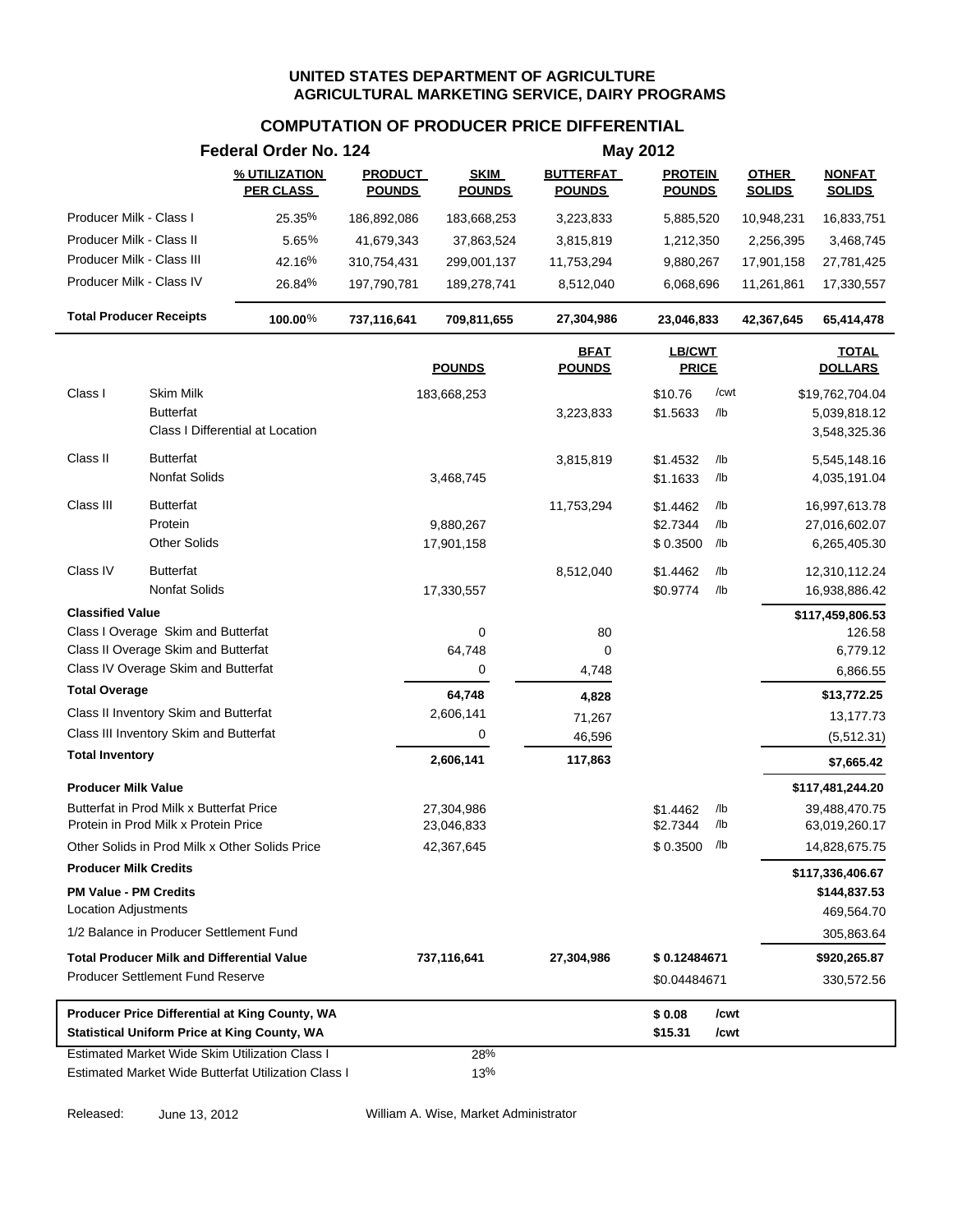### **COMPUTATION OF PRODUCER PRICE DIFFERENTIAL**

|                                                                                  |                     | Federal Order No. 124             |                                 | <b>May 2012</b>              |                                   |                                 |            |                               |                                |  |
|----------------------------------------------------------------------------------|---------------------|-----------------------------------|---------------------------------|------------------------------|-----------------------------------|---------------------------------|------------|-------------------------------|--------------------------------|--|
|                                                                                  |                     | % UTILIZATION<br><b>PER CLASS</b> | <b>PRODUCT</b><br><b>POUNDS</b> | <b>SKIM</b><br><b>POUNDS</b> | <b>BUTTERFAT</b><br><b>POUNDS</b> | <b>PROTEIN</b><br><b>POUNDS</b> |            | <b>OTHER</b><br><b>SOLIDS</b> | <b>NONFAT</b><br><b>SOLIDS</b> |  |
| Producer Milk - Class I                                                          |                     | 25.35%                            | 186,892,086                     | 183,668,253                  | 3,223,833                         | 5,885,520                       |            | 10,948,231                    | 16,833,751                     |  |
| Producer Milk - Class II                                                         |                     | 5.65%                             | 41,679,343                      | 37,863,524                   | 3,815,819                         | 1,212,350                       |            | 2,256,395                     | 3,468,745                      |  |
| Producer Milk - Class III                                                        |                     | 42.16%                            | 310,754,431                     | 299,001,137                  | 11,753,294                        | 9,880,267                       |            | 17,901,158                    | 27,781,425                     |  |
| Producer Milk - Class IV                                                         |                     | 26.84%                            | 197,790,781                     | 189,278,741                  | 8,512,040                         | 6,068,696                       |            | 11,261,861                    | 17,330,557                     |  |
| <b>Total Producer Receipts</b>                                                   |                     | 100.00%                           | 737,116,641                     | 709,811,655                  | 27,304,986                        | 23,046,833                      |            | 42,367,645                    | 65,414,478                     |  |
|                                                                                  |                     |                                   |                                 | <b>POUNDS</b>                | <b>BFAT</b><br><b>POUNDS</b>      | LB/CWT<br><b>PRICE</b>          |            |                               | <b>TOTAL</b><br><b>DOLLARS</b> |  |
| Class I                                                                          | Skim Milk           |                                   |                                 | 183,668,253                  |                                   | \$10.76                         | /cwt       |                               | \$19,762,704.04                |  |
| <b>Butterfat</b>                                                                 |                     |                                   |                                 |                              | 3,223,833                         | \$1.5633                        | /lb        |                               | 5,039,818.12                   |  |
|                                                                                  |                     | Class I Differential at Location  |                                 |                              |                                   |                                 |            |                               | 3,548,325.36                   |  |
| Class II<br><b>Butterfat</b>                                                     |                     |                                   |                                 |                              | 3,815,819                         | \$1.4532                        | /lb        |                               | 5,545,148.16                   |  |
|                                                                                  | Nonfat Solids       |                                   |                                 | 3,468,745                    |                                   | \$1.1633                        | /lb        |                               | 4,035,191.04                   |  |
| Class III<br><b>Butterfat</b>                                                    |                     |                                   |                                 |                              | 11,753,294                        | \$1.4462                        | /lb        |                               | 16,997,613.78                  |  |
| Protein                                                                          |                     |                                   |                                 | 9,880,267                    |                                   | \$2.7344                        | /lb        |                               | 27,016,602.07                  |  |
|                                                                                  | <b>Other Solids</b> |                                   |                                 | 17,901,158                   |                                   | \$0.3500                        | /lb        |                               | 6,265,405.30                   |  |
| <b>Butterfat</b><br>Class IV                                                     |                     |                                   |                                 |                              | 8,512,040                         | \$1.4462                        | /lb        |                               | 12,310,112.24                  |  |
|                                                                                  | Nonfat Solids       |                                   |                                 | 17,330,557                   |                                   | \$0.9774                        | /lb        |                               | 16,938,886.42                  |  |
| <b>Classified Value</b>                                                          |                     |                                   |                                 |                              |                                   |                                 |            |                               | \$117,459,806.53               |  |
| Class I Overage Skim and Butterfat                                               |                     |                                   |                                 | 0                            | 80                                |                                 |            |                               | 126.58                         |  |
| Class II Overage Skim and Butterfat<br>Class IV Overage Skim and Butterfat       |                     |                                   |                                 | 64,748                       | 0                                 |                                 |            |                               | 6,779.12                       |  |
| <b>Total Overage</b>                                                             |                     |                                   |                                 | 0                            | 4,748                             |                                 |            |                               | 6,866.55                       |  |
|                                                                                  |                     |                                   |                                 | 64,748                       | 4,828                             |                                 |            |                               | \$13,772.25                    |  |
| Class II Inventory Skim and Butterfat<br>Class III Inventory Skim and Butterfat  |                     |                                   |                                 | 2,606,141<br>0               | 71,267                            |                                 |            |                               | 13,177.73                      |  |
| <b>Total Inventory</b>                                                           |                     |                                   |                                 |                              | 46,596                            |                                 |            |                               | (5,512.31)                     |  |
|                                                                                  |                     |                                   |                                 | 2,606,141                    | 117,863                           |                                 |            |                               | \$7,665.42                     |  |
| <b>Producer Milk Value</b>                                                       |                     |                                   |                                 |                              |                                   |                                 |            |                               | \$117,481,244.20               |  |
| Butterfat in Prod Milk x Butterfat Price<br>Protein in Prod Milk x Protein Price |                     |                                   |                                 | 27,304,986<br>23,046,833     |                                   | \$1.4462<br>\$2.7344            | /lb<br>/lb |                               | 39,488,470.75<br>63,019,260.17 |  |
| Other Solids in Prod Milk x Other Solids Price                                   |                     |                                   |                                 | 42,367,645                   |                                   | $$0.3500$ /lb                   |            |                               | 14,828,675.75                  |  |
| <b>Producer Milk Credits</b>                                                     |                     |                                   |                                 |                              |                                   |                                 |            |                               | \$117,336,406.67               |  |
| <b>PM Value - PM Credits</b>                                                     |                     |                                   |                                 |                              |                                   |                                 |            |                               | \$144,837.53                   |  |
| Location Adjustments                                                             |                     |                                   |                                 |                              |                                   |                                 |            |                               | 469,564.70                     |  |
| 1/2 Balance in Producer Settlement Fund                                          |                     |                                   |                                 |                              |                                   |                                 |            |                               | 305,863.64                     |  |
| <b>Total Producer Milk and Differential Value</b>                                |                     |                                   |                                 | 737,116,641                  | 27,304,986                        | \$0.12484671                    |            |                               | \$920,265.87                   |  |
| Producer Settlement Fund Reserve                                                 |                     |                                   |                                 |                              |                                   | \$0.04484671                    |            |                               | 330,572.56                     |  |
| Producer Price Differential at King County, WA                                   |                     |                                   |                                 |                              |                                   | \$0.08                          | /cwt       |                               |                                |  |
| <b>Statistical Uniform Price at King County, WA</b>                              |                     |                                   |                                 |                              |                                   | \$15.31                         | /cwt       |                               |                                |  |
| Estimated Market Wide Skim Utilization Class I                                   |                     |                                   |                                 | 28%                          |                                   |                                 |            |                               |                                |  |
| Estimated Market Wide Butterfat Utilization Class I                              |                     |                                   |                                 | 13%                          |                                   |                                 |            |                               |                                |  |

Released: June 13, 2012 William A. Wise, Market Administrator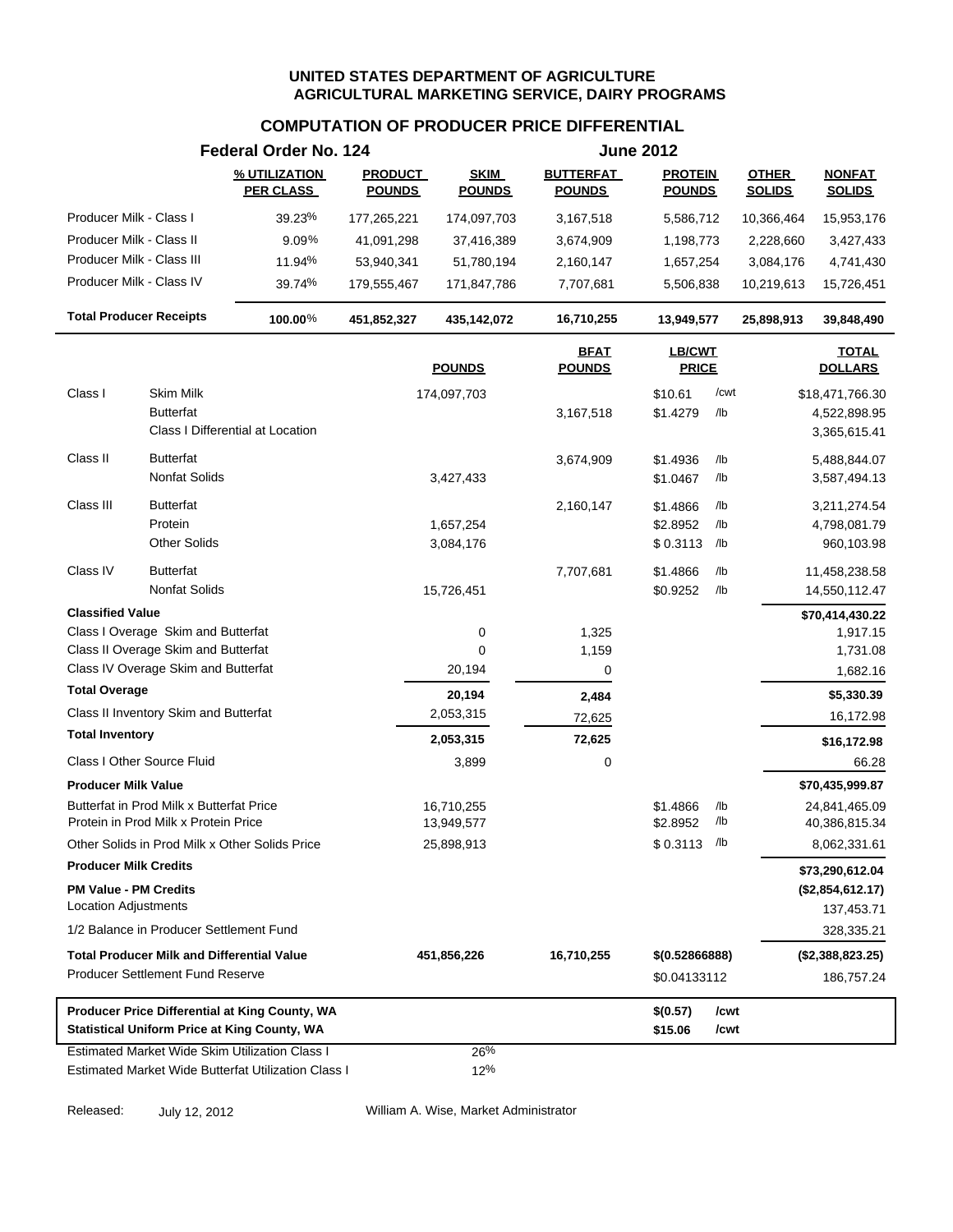### **COMPUTATION OF PRODUCER PRICE DIFFERENTIAL**

|                                                                                                                | Federal Order No. 124 |                                                     | <b>June 2012</b>                |                              |                                   |                                 |            |                               |                                                   |
|----------------------------------------------------------------------------------------------------------------|-----------------------|-----------------------------------------------------|---------------------------------|------------------------------|-----------------------------------|---------------------------------|------------|-------------------------------|---------------------------------------------------|
|                                                                                                                |                       | % UTILIZATION<br><b>PER CLASS</b>                   | <b>PRODUCT</b><br><b>POUNDS</b> | <b>SKIM</b><br><b>POUNDS</b> | <b>BUTTERFAT</b><br><b>POUNDS</b> | <b>PROTEIN</b><br><b>POUNDS</b> |            | <b>OTHER</b><br><b>SOLIDS</b> | <b>NONFAT</b><br><b>SOLIDS</b>                    |
| Producer Milk - Class I                                                                                        |                       | 39.23%                                              | 177,265,221                     | 174,097,703                  | 3,167,518                         | 5,586,712                       |            | 10,366,464                    | 15,953,176                                        |
| Producer Milk - Class II                                                                                       |                       | $9.09\%$                                            | 41,091,298                      | 37,416,389                   | 3,674,909                         | 1,198,773                       |            | 2,228,660                     | 3,427,433                                         |
| Producer Milk - Class III                                                                                      |                       | 11.94%                                              | 53,940,341                      | 51,780,194                   | 2,160,147                         | 1,657,254                       |            | 3,084,176                     | 4,741,430                                         |
| Producer Milk - Class IV                                                                                       |                       | 39.74%                                              | 179,555,467                     | 171,847,786                  | 7,707,681                         | 5,506,838                       |            | 10,219,613                    | 15,726,451                                        |
| <b>Total Producer Receipts</b>                                                                                 |                       | 100.00%                                             | 451,852,327                     | 435,142,072                  | 16,710,255                        | 13,949,577                      |            | 25,898,913                    | 39,848,490                                        |
|                                                                                                                |                       |                                                     |                                 | <b>POUNDS</b>                | <b>BFAT</b><br><b>POUNDS</b>      | <b>LB/CWT</b><br><b>PRICE</b>   |            |                               | <b>TOTAL</b><br><b>DOLLARS</b>                    |
| Class I                                                                                                        | <b>Skim Milk</b>      |                                                     |                                 | 174,097,703                  |                                   | \$10.61                         | /cwt       |                               | \$18,471,766.30                                   |
|                                                                                                                | <b>Butterfat</b>      | Class I Differential at Location                    |                                 |                              | 3,167,518                         | \$1.4279                        | /lb        |                               | 4,522,898.95<br>3,365,615.41                      |
| Class II                                                                                                       | <b>Butterfat</b>      |                                                     |                                 |                              | 3,674,909                         | \$1.4936                        | /lb        |                               | 5,488,844.07                                      |
|                                                                                                                | Nonfat Solids         |                                                     |                                 | 3,427,433                    |                                   | \$1.0467                        | /lb        |                               | 3,587,494.13                                      |
| Class III                                                                                                      | <b>Butterfat</b>      |                                                     |                                 |                              | 2,160,147                         | \$1.4866                        | /lb        |                               | 3,211,274.54                                      |
|                                                                                                                | Protein               |                                                     |                                 | 1,657,254                    |                                   | \$2.8952                        | /lb        |                               | 4,798,081.79                                      |
|                                                                                                                | <b>Other Solids</b>   |                                                     |                                 | 3,084,176                    |                                   | \$0.3113                        | /lb        |                               | 960,103.98                                        |
| Class IV                                                                                                       | <b>Butterfat</b>      |                                                     |                                 |                              | 7,707,681                         | \$1.4866                        | /lb        |                               | 11,458,238.58                                     |
|                                                                                                                | <b>Nonfat Solids</b>  |                                                     |                                 | 15,726,451                   |                                   | \$0.9252                        | /lb        |                               | 14,550,112.47                                     |
| <b>Classified Value</b>                                                                                        |                       |                                                     |                                 |                              |                                   |                                 |            |                               | \$70,414,430.22                                   |
| Class I Overage Skim and Butterfat                                                                             |                       |                                                     |                                 | 0                            | 1,325                             |                                 |            |                               | 1,917.15                                          |
| Class II Overage Skim and Butterfat<br>Class IV Overage Skim and Butterfat                                     |                       |                                                     |                                 | 0                            | 1,159                             |                                 |            |                               | 1,731.08                                          |
| <b>Total Overage</b>                                                                                           |                       |                                                     |                                 | 20,194                       | 0                                 |                                 |            |                               | 1,682.16                                          |
| Class II Inventory Skim and Butterfat                                                                          |                       |                                                     |                                 | 20,194                       | 2,484                             |                                 |            |                               | \$5,330.39                                        |
| <b>Total Inventory</b>                                                                                         |                       |                                                     |                                 | 2,053,315                    | 72,625                            |                                 |            |                               | 16,172.98                                         |
| Class I Other Source Fluid                                                                                     |                       |                                                     |                                 | 2,053,315                    | 72,625                            |                                 |            |                               | \$16,172.98                                       |
|                                                                                                                |                       |                                                     |                                 | 3,899                        | 0                                 |                                 |            |                               | 66.28                                             |
| <b>Producer Milk Value</b><br>Butterfat in Prod Milk x Butterfat Price<br>Protein in Prod Milk x Protein Price |                       |                                                     |                                 | 16,710,255<br>13,949,577     |                                   | \$1.4866<br>\$2.8952            | /lb<br>/lb |                               | \$70,435,999.87<br>24,841,465.09<br>40,386,815.34 |
| Other Solids in Prod Milk x Other Solids Price                                                                 |                       |                                                     |                                 | 25,898,913                   |                                   | $$0.3113$ /lb                   |            |                               | 8,062,331.61                                      |
| <b>Producer Milk Credits</b>                                                                                   |                       |                                                     |                                 |                              |                                   |                                 |            |                               | \$73,290,612.04                                   |
| <b>PM Value - PM Credits</b><br><b>Location Adjustments</b>                                                    |                       |                                                     |                                 |                              |                                   |                                 |            |                               | (\$2,854,612.17)<br>137,453.71                    |
| 1/2 Balance in Producer Settlement Fund                                                                        |                       |                                                     |                                 |                              |                                   |                                 |            |                               | 328,335.21                                        |
| <b>Total Producer Milk and Differential Value</b>                                                              |                       |                                                     |                                 | 451,856,226                  | 16,710,255                        | \$(0.52866888)                  |            |                               | (\$2,388,823.25)                                  |
| <b>Producer Settlement Fund Reserve</b>                                                                        |                       |                                                     |                                 |                              |                                   | \$0.04133112                    |            |                               | 186,757.24                                        |
|                                                                                                                |                       | Producer Price Differential at King County, WA      |                                 |                              |                                   | \$(0.57)                        | /cwt       |                               |                                                   |
| <b>Statistical Uniform Price at King County, WA</b>                                                            |                       |                                                     |                                 |                              |                                   | \$15.06                         | /cwt       |                               |                                                   |
| Estimated Market Wide Skim Utilization Class I                                                                 |                       | Estimated Market Wide Butterfat Utilization Class I |                                 | 26%<br>12%                   |                                   |                                 |            |                               |                                                   |

Released: July 12, 2012 William A. Wise, Market Administrator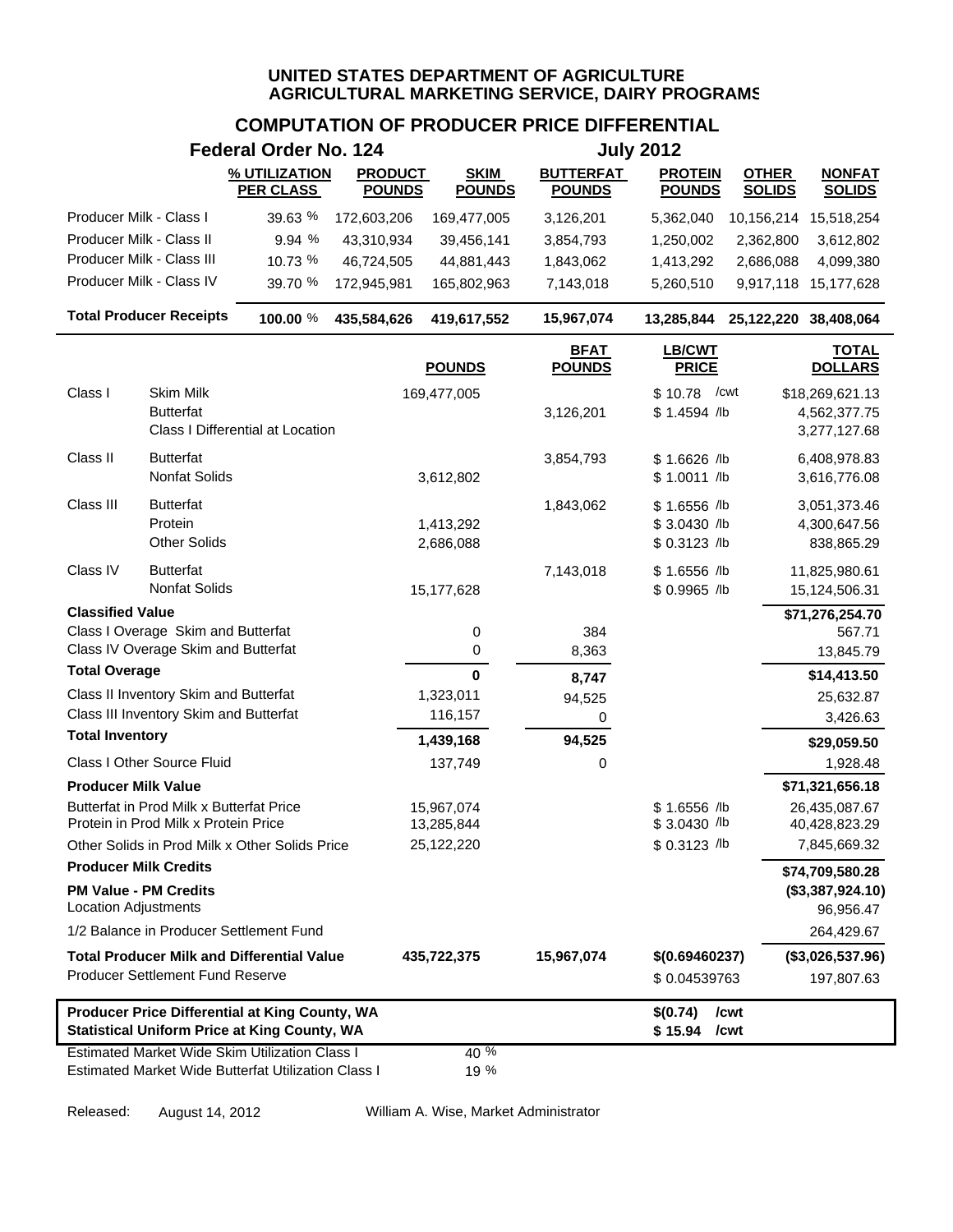# **COMPUTATION OF PRODUCER PRICE DIFFERENTIAL**

|                              |                                                                                  | <b>Federal Order No. 124</b>                                                                                 |                                 |                              |                                   | <b>July 2012</b>                                |                               |                                                 |
|------------------------------|----------------------------------------------------------------------------------|--------------------------------------------------------------------------------------------------------------|---------------------------------|------------------------------|-----------------------------------|-------------------------------------------------|-------------------------------|-------------------------------------------------|
|                              |                                                                                  | % UTILIZATION<br><b>PER CLASS</b>                                                                            | <b>PRODUCT</b><br><b>POUNDS</b> | <b>SKIM</b><br><b>POUNDS</b> | <b>BUTTERFAT</b><br><b>POUNDS</b> | <b>PROTEIN</b><br><b>POUNDS</b>                 | <b>OTHER</b><br><b>SOLIDS</b> | <b>NONFAT</b><br><b>SOLIDS</b>                  |
| Producer Milk - Class I      |                                                                                  | 39.63 %                                                                                                      | 172,603,206                     | 169,477,005                  | 3,126,201                         | 5,362,040                                       | 10,156,214                    | 15,518,254                                      |
| Producer Milk - Class II     |                                                                                  | 9.94 %                                                                                                       | 43,310,934                      | 39,456,141                   | 3,854,793                         | 1,250,002                                       | 2,362,800                     | 3,612,802                                       |
|                              | Producer Milk - Class III                                                        | 10.73 %                                                                                                      | 46,724,505                      | 44,881,443                   | 1,843,062                         | 1,413,292                                       | 2,686,088                     | 4,099,380                                       |
|                              | Producer Milk - Class IV                                                         | 39.70 %                                                                                                      | 172,945,981                     | 165,802,963                  | 7,143,018                         | 5,260,510                                       | 9,917,118                     | 15,177,628                                      |
|                              | <b>Total Producer Receipts</b>                                                   | 100.00 %                                                                                                     | 435,584,626                     | 419,617,552                  | 15,967,074                        | 13,285,844                                      | 25,122,220 38,408,064         |                                                 |
|                              |                                                                                  |                                                                                                              |                                 | <b>POUNDS</b>                | <b>BFAT</b><br><b>POUNDS</b>      | LB/CWT<br><b>PRICE</b>                          |                               | <b>TOTAL</b><br><b>DOLLARS</b>                  |
| Class I                      | Skim Milk<br><b>Butterfat</b>                                                    | Class I Differential at Location                                                                             |                                 | 169,477,005                  | 3,126,201                         | \$10.78<br>$$1.4594$ /lb                        | /cwt                          | \$18,269,621.13<br>4,562,377.75<br>3,277,127.68 |
| Class II                     | <b>Butterfat</b><br>Nonfat Solids                                                |                                                                                                              |                                 | 3,612,802                    | 3,854,793                         | \$1.6626 /lb<br>$$1.0011$ /lb                   |                               | 6,408,978.83<br>3,616,776.08                    |
| Class III                    | <b>Butterfat</b><br>Protein<br><b>Other Solids</b>                               |                                                                                                              |                                 | 1,413,292<br>2,686,088       | 1,843,062                         | $$1.6556$ /lb<br>$$3.0430$ /lb<br>\$ 0.3123 /lb |                               | 3,051,373.46<br>4,300,647.56<br>838,865.29      |
| Class IV                     | <b>Butterfat</b><br>Nonfat Solids                                                |                                                                                                              |                                 | 15,177,628                   | 7,143,018                         | $$1.6556$ /lb<br>\$ 0.9965 /lb                  |                               | 11,825,980.61<br>15,124,506.31                  |
| <b>Classified Value</b>      |                                                                                  |                                                                                                              |                                 |                              |                                   |                                                 |                               | \$71,276,254.70                                 |
|                              | Class I Overage Skim and Butterfat<br>Class IV Overage Skim and Butterfat        |                                                                                                              |                                 | 0<br>0                       | 384<br>8,363                      |                                                 |                               | 567.71<br>13,845.79                             |
| <b>Total Overage</b>         |                                                                                  |                                                                                                              |                                 | 0                            | 8,747                             |                                                 |                               | \$14,413.50                                     |
|                              | Class II Inventory Skim and Butterfat                                            |                                                                                                              |                                 | 1,323,011                    | 94,525                            |                                                 |                               | 25,632.87                                       |
|                              | Class III Inventory Skim and Butterfat                                           |                                                                                                              |                                 | 116,157                      | 0                                 |                                                 |                               | 3,426.63                                        |
| <b>Total Inventory</b>       |                                                                                  |                                                                                                              |                                 | 1,439,168                    | 94,525                            |                                                 |                               | \$29,059.50                                     |
|                              | Class I Other Source Fluid                                                       |                                                                                                              |                                 | 137,749                      | 0                                 |                                                 |                               | 1,928.48                                        |
| <b>Producer Milk Value</b>   |                                                                                  |                                                                                                              |                                 |                              |                                   |                                                 |                               | \$71,321,656.18                                 |
|                              | Butterfat in Prod Milk x Butterfat Price<br>Protein in Prod Milk x Protein Price |                                                                                                              |                                 | 15,967,074<br>13,285,844     |                                   | \$1.6556 /lb<br>$$3.0430$ /lb                   |                               | 26,435,087.67<br>40,428,823.29                  |
|                              |                                                                                  | Other Solids in Prod Milk x Other Solids Price                                                               |                                 | 25,122,220                   |                                   | \$ 0.3123 /lb                                   |                               | 7,845,669.32                                    |
| <b>Producer Milk Credits</b> |                                                                                  |                                                                                                              |                                 |                              |                                   |                                                 |                               | \$74,709,580.28                                 |
| <b>Location Adjustments</b>  | <b>PM Value - PM Credits</b>                                                     |                                                                                                              |                                 |                              |                                   |                                                 |                               | (\$3,387,924.10)<br>96,956.47                   |
|                              | 1/2 Balance in Producer Settlement Fund                                          |                                                                                                              |                                 |                              |                                   |                                                 |                               | 264,429.67                                      |
|                              |                                                                                  | <b>Total Producer Milk and Differential Value</b>                                                            |                                 | 435,722,375                  | 15,967,074                        | \$(0.69460237)                                  |                               | (\$3,026,537.96)                                |
|                              | Producer Settlement Fund Reserve                                                 |                                                                                                              |                                 |                              |                                   | \$0.04539763                                    |                               | 197,807.63                                      |
|                              |                                                                                  | Producer Price Differential at King County, WA<br><b>Statistical Uniform Price at King County, WA</b>        |                                 |                              |                                   | \$(0.74)<br>\$15.94                             | /cwt<br>/cwt                  |                                                 |
|                              |                                                                                  | <b>Estimated Market Wide Skim Utilization Class I</b><br>Estimated Market Wide Butterfat Utilization Class I |                                 | 40 %<br>19 %                 |                                   |                                                 |                               |                                                 |

Released: August 14, 2012 William A. Wise, Market Administrator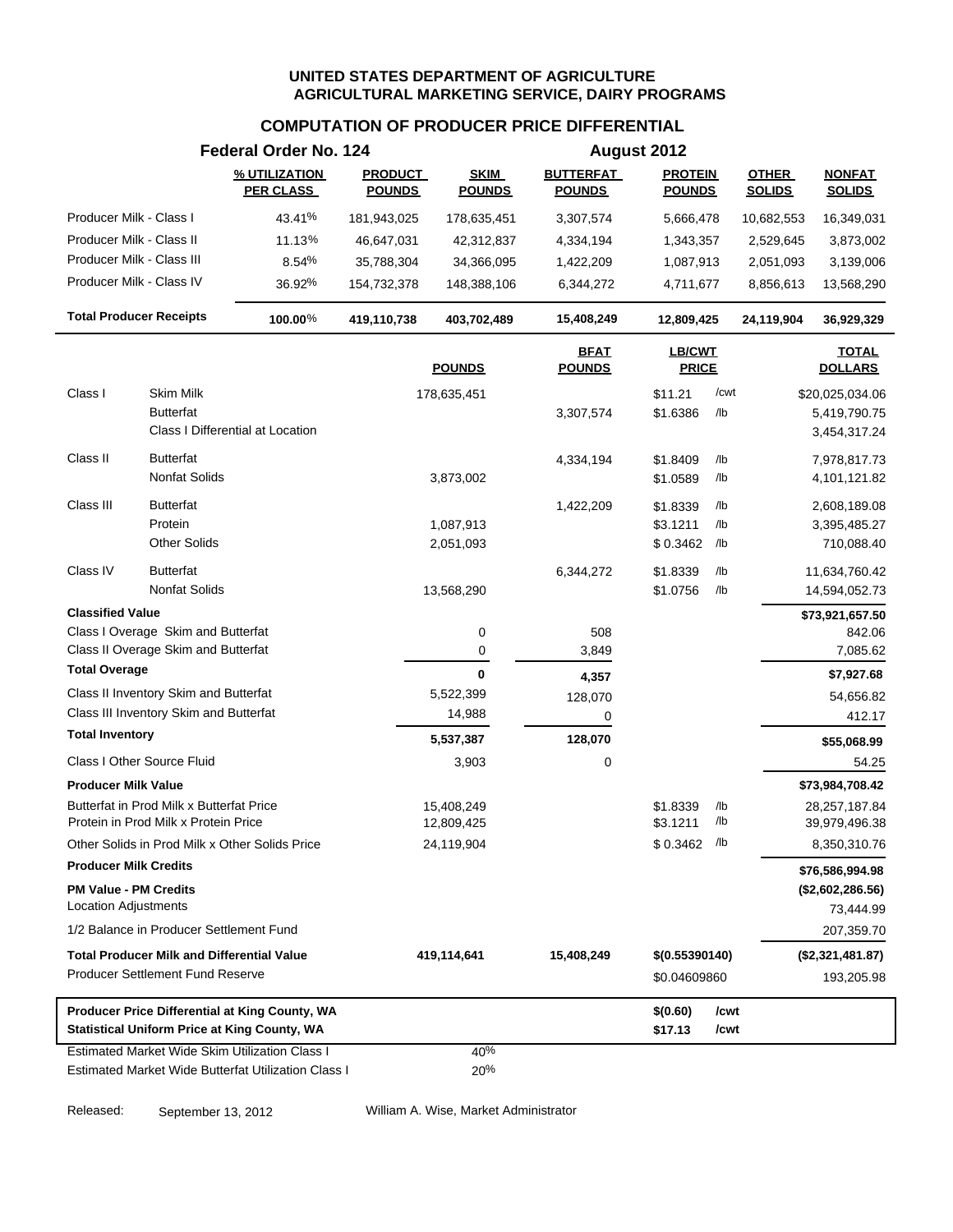### **COMPUTATION OF PRODUCER PRICE DIFFERENTIAL**

|                              |                                                                                  | Federal Order No. 124                                                                                 |                                 |                              |                                   | August 2012                     |            |                               | <b>NONFAT</b><br><b>SOLIDS</b><br>\$20,025,034.06<br>11,634,760.42<br>14,594,052.73<br>\$73,921,657.50<br>\$73,984,708.42<br>28,257,187.84<br>39,979,496.38<br>\$76,586,994.98<br>(\$2,602,286.56)<br>(\$2,321,481.87) |  |  |
|------------------------------|----------------------------------------------------------------------------------|-------------------------------------------------------------------------------------------------------|---------------------------------|------------------------------|-----------------------------------|---------------------------------|------------|-------------------------------|------------------------------------------------------------------------------------------------------------------------------------------------------------------------------------------------------------------------|--|--|
|                              |                                                                                  | % UTILIZATION<br><b>PER CLASS</b>                                                                     | <b>PRODUCT</b><br><b>POUNDS</b> | <b>SKIM</b><br><b>POUNDS</b> | <b>BUTTERFAT</b><br><b>POUNDS</b> | <b>PROTEIN</b><br><b>POUNDS</b> |            | <b>OTHER</b><br><b>SOLIDS</b> |                                                                                                                                                                                                                        |  |  |
| Producer Milk - Class I      |                                                                                  | 43.41%                                                                                                | 181,943,025                     | 178,635,451                  | 3,307,574                         | 5,666,478                       |            | 10,682,553                    | 16,349,031                                                                                                                                                                                                             |  |  |
| Producer Milk - Class II     |                                                                                  | 11.13%                                                                                                | 46,647,031                      | 42,312,837                   | 4,334,194                         | 1,343,357                       |            | 2,529,645                     | 3,873,002                                                                                                                                                                                                              |  |  |
| Producer Milk - Class III    |                                                                                  | 8.54%                                                                                                 | 35,788,304                      | 34,366,095                   | 1,422,209                         | 1,087,913                       |            | 2,051,093                     | 3,139,006                                                                                                                                                                                                              |  |  |
|                              | Producer Milk - Class IV                                                         | 36.92%                                                                                                | 154,732,378                     | 148,388,106                  | 6,344,272                         | 4,711,677                       |            | 8,856,613                     | 13,568,290                                                                                                                                                                                                             |  |  |
|                              | <b>Total Producer Receipts</b>                                                   | 100.00%                                                                                               | 419,110,738                     | 403,702,489                  | 15,408,249                        | 12,809,425                      |            | 24,119,904                    | 36,929,329                                                                                                                                                                                                             |  |  |
|                              |                                                                                  |                                                                                                       |                                 | <b>POUNDS</b>                | <b>BFAT</b><br><b>POUNDS</b>      | LB/CWT<br><b>PRICE</b>          |            |                               | <b>TOTAL</b><br><b>DOLLARS</b>                                                                                                                                                                                         |  |  |
| Class I                      | <b>Skim Milk</b>                                                                 |                                                                                                       |                                 | 178,635,451                  |                                   | \$11.21                         | /cwt       |                               |                                                                                                                                                                                                                        |  |  |
|                              | <b>Butterfat</b>                                                                 |                                                                                                       |                                 |                              | 3,307,574                         | \$1.6386                        | /lb        |                               | 5,419,790.75                                                                                                                                                                                                           |  |  |
|                              |                                                                                  | Class I Differential at Location                                                                      |                                 |                              |                                   |                                 |            |                               | 3,454,317.24                                                                                                                                                                                                           |  |  |
| Class II                     | <b>Butterfat</b>                                                                 |                                                                                                       |                                 |                              | 4,334,194                         | \$1.8409                        | /lb        |                               | 7,978,817.73                                                                                                                                                                                                           |  |  |
|                              | <b>Nonfat Solids</b>                                                             |                                                                                                       |                                 | 3,873,002                    |                                   | \$1.0589                        | /lb        |                               | 4,101,121.82                                                                                                                                                                                                           |  |  |
| Class III                    | <b>Butterfat</b>                                                                 |                                                                                                       |                                 |                              | 1,422,209                         | \$1.8339                        | /lb        |                               | 2,608,189.08                                                                                                                                                                                                           |  |  |
|                              | Protein                                                                          |                                                                                                       |                                 | 1,087,913                    |                                   | \$3.1211                        | /lb        |                               | 3,395,485.27                                                                                                                                                                                                           |  |  |
|                              | <b>Other Solids</b>                                                              |                                                                                                       |                                 | 2,051,093                    |                                   | \$0.3462                        | /lb        |                               | 710,088.40                                                                                                                                                                                                             |  |  |
| Class IV                     | <b>Butterfat</b>                                                                 |                                                                                                       |                                 |                              | 6,344,272                         | \$1.8339                        | /lb        |                               |                                                                                                                                                                                                                        |  |  |
|                              | <b>Nonfat Solids</b>                                                             |                                                                                                       |                                 | 13,568,290                   |                                   | \$1.0756                        | /lb        |                               |                                                                                                                                                                                                                        |  |  |
| <b>Classified Value</b>      |                                                                                  |                                                                                                       |                                 |                              |                                   |                                 |            |                               |                                                                                                                                                                                                                        |  |  |
|                              | Class I Overage Skim and Butterfat                                               |                                                                                                       |                                 | $\mathbf 0$                  | 508                               |                                 |            |                               | 842.06                                                                                                                                                                                                                 |  |  |
|                              | Class II Overage Skim and Butterfat                                              |                                                                                                       |                                 | 0                            | 3,849                             |                                 |            |                               | 7,085.62                                                                                                                                                                                                               |  |  |
| <b>Total Overage</b>         |                                                                                  |                                                                                                       |                                 | $\mathbf{0}$                 | 4,357                             |                                 |            |                               | \$7,927.68                                                                                                                                                                                                             |  |  |
|                              | Class II Inventory Skim and Butterfat                                            |                                                                                                       |                                 | 5,522,399                    | 128,070                           |                                 |            |                               | 54,656.82                                                                                                                                                                                                              |  |  |
|                              | Class III Inventory Skim and Butterfat                                           |                                                                                                       |                                 | 14,988                       | 0                                 |                                 |            |                               | 412.17                                                                                                                                                                                                                 |  |  |
| <b>Total Inventory</b>       |                                                                                  |                                                                                                       |                                 | 5,537,387                    | 128,070                           |                                 |            |                               | \$55,068.99                                                                                                                                                                                                            |  |  |
|                              | Class I Other Source Fluid                                                       |                                                                                                       |                                 | 3,903                        | 0                                 |                                 |            |                               | 54.25                                                                                                                                                                                                                  |  |  |
| <b>Producer Milk Value</b>   |                                                                                  |                                                                                                       |                                 |                              |                                   |                                 |            |                               |                                                                                                                                                                                                                        |  |  |
|                              | Butterfat in Prod Milk x Butterfat Price<br>Protein in Prod Milk x Protein Price |                                                                                                       |                                 | 15,408,249<br>12,809,425     |                                   | \$1.8339<br>\$3.1211            | /lb<br>/lb |                               |                                                                                                                                                                                                                        |  |  |
|                              |                                                                                  | Other Solids in Prod Milk x Other Solids Price                                                        |                                 | 24,119,904                   |                                   | $$0.3462$ /lb                   |            |                               | 8,350,310.76                                                                                                                                                                                                           |  |  |
| <b>Producer Milk Credits</b> |                                                                                  |                                                                                                       |                                 |                              |                                   |                                 |            |                               |                                                                                                                                                                                                                        |  |  |
| <b>PM Value - PM Credits</b> |                                                                                  |                                                                                                       |                                 |                              |                                   |                                 |            |                               |                                                                                                                                                                                                                        |  |  |
| Location Adjustments         |                                                                                  |                                                                                                       |                                 |                              |                                   |                                 |            |                               | 73,444.99                                                                                                                                                                                                              |  |  |
|                              | 1/2 Balance in Producer Settlement Fund                                          |                                                                                                       |                                 |                              |                                   |                                 |            |                               | 207,359.70                                                                                                                                                                                                             |  |  |
|                              | <b>Total Producer Milk and Differential Value</b>                                |                                                                                                       |                                 | 419,114,641                  | 15,408,249                        | \$(0.55390140)                  |            |                               |                                                                                                                                                                                                                        |  |  |
|                              | <b>Producer Settlement Fund Reserve</b>                                          |                                                                                                       |                                 |                              |                                   | \$0.04609860                    |            |                               | 193,205.98                                                                                                                                                                                                             |  |  |
|                              |                                                                                  | Producer Price Differential at King County, WA                                                        |                                 |                              |                                   | \$(0.60)                        | /cwt       |                               |                                                                                                                                                                                                                        |  |  |
|                              |                                                                                  | <b>Statistical Uniform Price at King County, WA</b>                                                   |                                 |                              |                                   | \$17.13                         | /cwt       |                               |                                                                                                                                                                                                                        |  |  |
|                              |                                                                                  | Estimated Market Wide Skim Utilization Class I<br>Estimated Market Wide Butterfat Utilization Class I |                                 | 40%<br>20%                   |                                   |                                 |            |                               |                                                                                                                                                                                                                        |  |  |

Released: September 13, 2012 William A. Wise, Market Administrator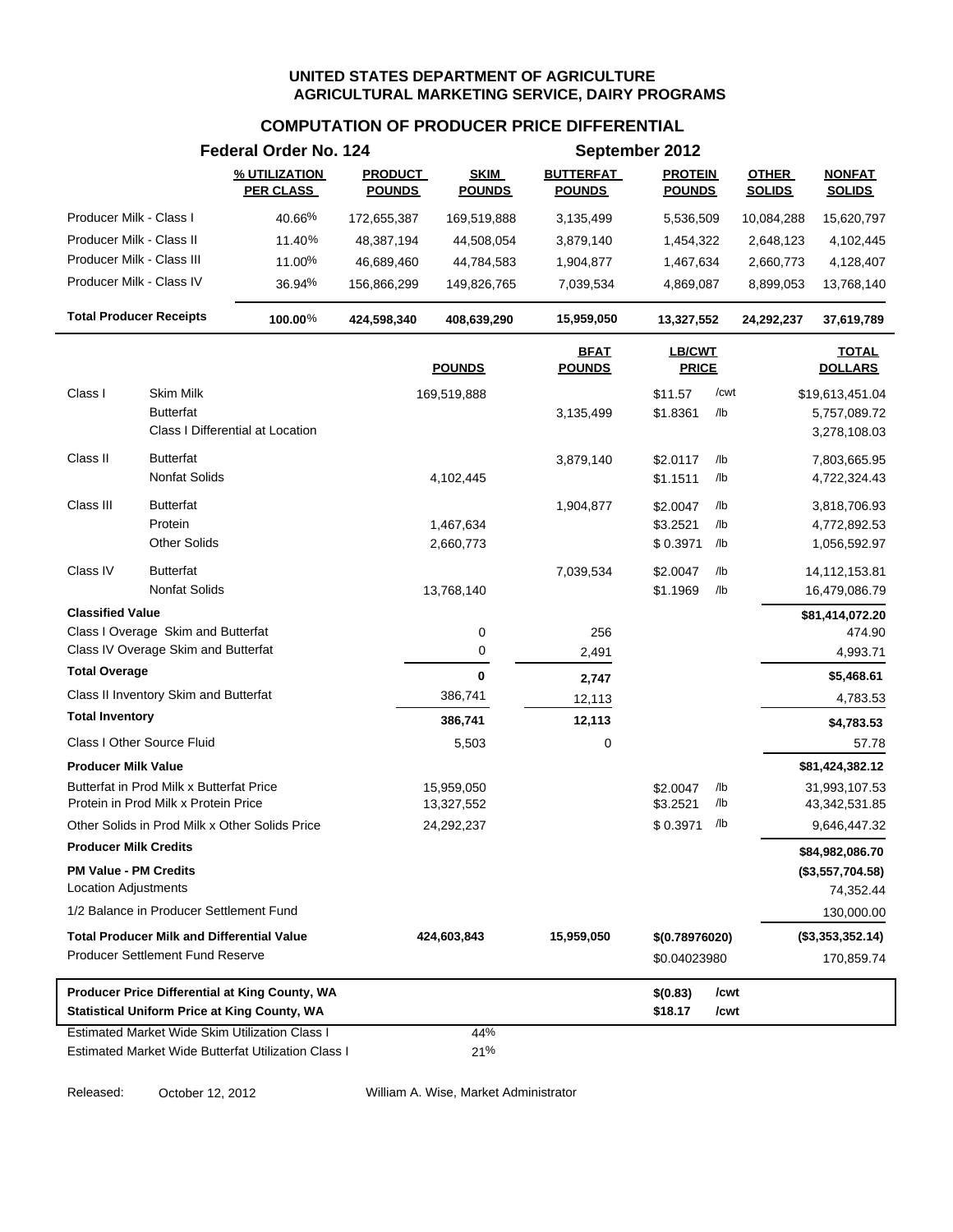### **COMPUTATION OF PRODUCER PRICE DIFFERENTIAL**

|                                                                                                       | Federal Order No. 124             |                                 |                              |                                   | September 2012                  |              |                               |                                |
|-------------------------------------------------------------------------------------------------------|-----------------------------------|---------------------------------|------------------------------|-----------------------------------|---------------------------------|--------------|-------------------------------|--------------------------------|
|                                                                                                       | % UTILIZATION<br><b>PER CLASS</b> | <b>PRODUCT</b><br><b>POUNDS</b> | <b>SKIM</b><br><b>POUNDS</b> | <b>BUTTERFAT</b><br><b>POUNDS</b> | <b>PROTEIN</b><br><b>POUNDS</b> |              | <b>OTHER</b><br><b>SOLIDS</b> | <b>NONFAT</b><br><b>SOLIDS</b> |
| Producer Milk - Class I                                                                               | 40.66%                            | 172,655,387                     | 169,519,888                  | 3,135,499                         | 5,536,509                       |              | 10,084,288                    | 15,620,797                     |
| Producer Milk - Class II                                                                              | 11.40%                            | 48,387,194                      | 44,508,054                   | 3,879,140                         | 1,454,322                       |              | 2,648,123                     | 4,102,445                      |
| Producer Milk - Class III                                                                             | 11.00%                            | 46,689,460                      | 44,784,583                   | 1,904,877                         | 1,467,634                       |              | 2,660,773                     | 4,128,407                      |
| Producer Milk - Class IV                                                                              | 36.94%                            | 156,866,299                     | 149,826,765                  | 7,039,534                         | 4,869,087                       |              | 8,899,053                     | 13,768,140                     |
| <b>Total Producer Receipts</b>                                                                        | 100.00%                           | 424,598,340                     | 408,639,290                  | 15,959,050                        | 13,327,552                      |              | 24,292,237                    | 37,619,789                     |
|                                                                                                       |                                   |                                 | <b>POUNDS</b>                | <b>BFAT</b><br><b>POUNDS</b>      | <b>LB/CWT</b><br><b>PRICE</b>   |              |                               | <b>TOTAL</b><br><b>DOLLARS</b> |
| Class I<br>Skim Milk                                                                                  |                                   |                                 | 169,519,888                  |                                   | \$11.57                         | /cwt         |                               | \$19,613,451.04                |
| <b>Butterfat</b><br>Class I Differential at Location                                                  |                                   |                                 |                              | 3,135,499                         | \$1.8361                        | /lb          |                               | 5,757,089.72<br>3,278,108.03   |
| Class II<br><b>Butterfat</b>                                                                          |                                   |                                 |                              | 3,879,140                         | \$2.0117                        | /lb          |                               | 7,803,665.95                   |
| Nonfat Solids                                                                                         |                                   |                                 | 4,102,445                    |                                   | \$1.1511                        | /lb          |                               | 4,722,324.43                   |
| Class III<br><b>Butterfat</b>                                                                         |                                   |                                 |                              | 1,904,877                         | \$2.0047                        | /lb          |                               | 3,818,706.93                   |
| Protein                                                                                               |                                   |                                 | 1,467,634                    |                                   | \$3.2521                        | /lb          |                               | 4,772,892.53                   |
| <b>Other Solids</b>                                                                                   |                                   |                                 | 2,660,773                    |                                   | \$0.3971                        | /lb          |                               | 1,056,592.97                   |
| Class IV<br><b>Butterfat</b>                                                                          |                                   |                                 |                              | 7,039,534                         | \$2.0047                        | /lb          |                               | 14,112,153.81                  |
| <b>Nonfat Solids</b>                                                                                  |                                   |                                 | 13,768,140                   |                                   | \$1.1969                        | /lb          |                               | 16,479,086.79                  |
| <b>Classified Value</b>                                                                               |                                   |                                 |                              |                                   |                                 |              |                               | \$81,414,072.20                |
| Class I Overage Skim and Butterfat                                                                    |                                   |                                 | 0                            | 256                               |                                 |              |                               | 474.90                         |
| Class IV Overage Skim and Butterfat                                                                   |                                   |                                 | 0                            | 2,491                             |                                 |              |                               | 4,993.71                       |
| <b>Total Overage</b>                                                                                  |                                   |                                 | 0                            | 2,747                             |                                 |              |                               | \$5,468.61                     |
| Class II Inventory Skim and Butterfat                                                                 |                                   |                                 | 386,741                      | 12,113                            |                                 |              |                               | 4,783.53                       |
| <b>Total Inventory</b>                                                                                |                                   |                                 | 386,741                      | 12,113                            |                                 |              |                               | \$4,783.53                     |
| Class I Other Source Fluid                                                                            |                                   |                                 | 5,503                        | 0                                 |                                 |              |                               | 57.78                          |
| <b>Producer Milk Value</b>                                                                            |                                   |                                 |                              |                                   |                                 |              |                               | \$81,424,382.12                |
| Butterfat in Prod Milk x Butterfat Price<br>Protein in Prod Milk x Protein Price                      |                                   |                                 | 15,959,050                   |                                   | \$2.0047                        | /lb<br>/lb   |                               | 31,993,107.53                  |
| Other Solids in Prod Milk x Other Solids Price                                                        |                                   |                                 | 13,327,552<br>24,292,237     |                                   | \$3.2521<br>\$0.3971            | /lb          |                               | 43,342,531.85<br>9,646,447.32  |
| <b>Producer Milk Credits</b>                                                                          |                                   |                                 |                              |                                   |                                 |              |                               | \$84,982,086.70                |
| <b>PM Value - PM Credits</b>                                                                          |                                   |                                 |                              |                                   |                                 |              |                               | (\$3,557,704.58)               |
| <b>Location Adjustments</b>                                                                           |                                   |                                 |                              |                                   |                                 |              |                               | 74,352.44                      |
| 1/2 Balance in Producer Settlement Fund                                                               |                                   |                                 |                              |                                   |                                 |              |                               | 130,000.00                     |
| <b>Total Producer Milk and Differential Value</b>                                                     |                                   |                                 | 424,603,843                  | 15,959,050                        | \$(0.78976020)                  |              |                               | (\$3,353,352.14)               |
| <b>Producer Settlement Fund Reserve</b>                                                               |                                   |                                 |                              |                                   | \$0.04023980                    |              |                               | 170,859.74                     |
| Producer Price Differential at King County, WA<br><b>Statistical Uniform Price at King County, WA</b> |                                   |                                 |                              |                                   | \$(0.83)<br>\$18.17             | /cwt<br>/cwt |                               |                                |
| Estimated Market Wide Skim Utilization Class I                                                        |                                   |                                 | 44%                          |                                   |                                 |              |                               |                                |
| Estimated Market Wide Butterfat Utilization Class I                                                   |                                   |                                 | 21%                          |                                   |                                 |              |                               |                                |

Released: October 12, 2012 William A. Wise, Market Administrator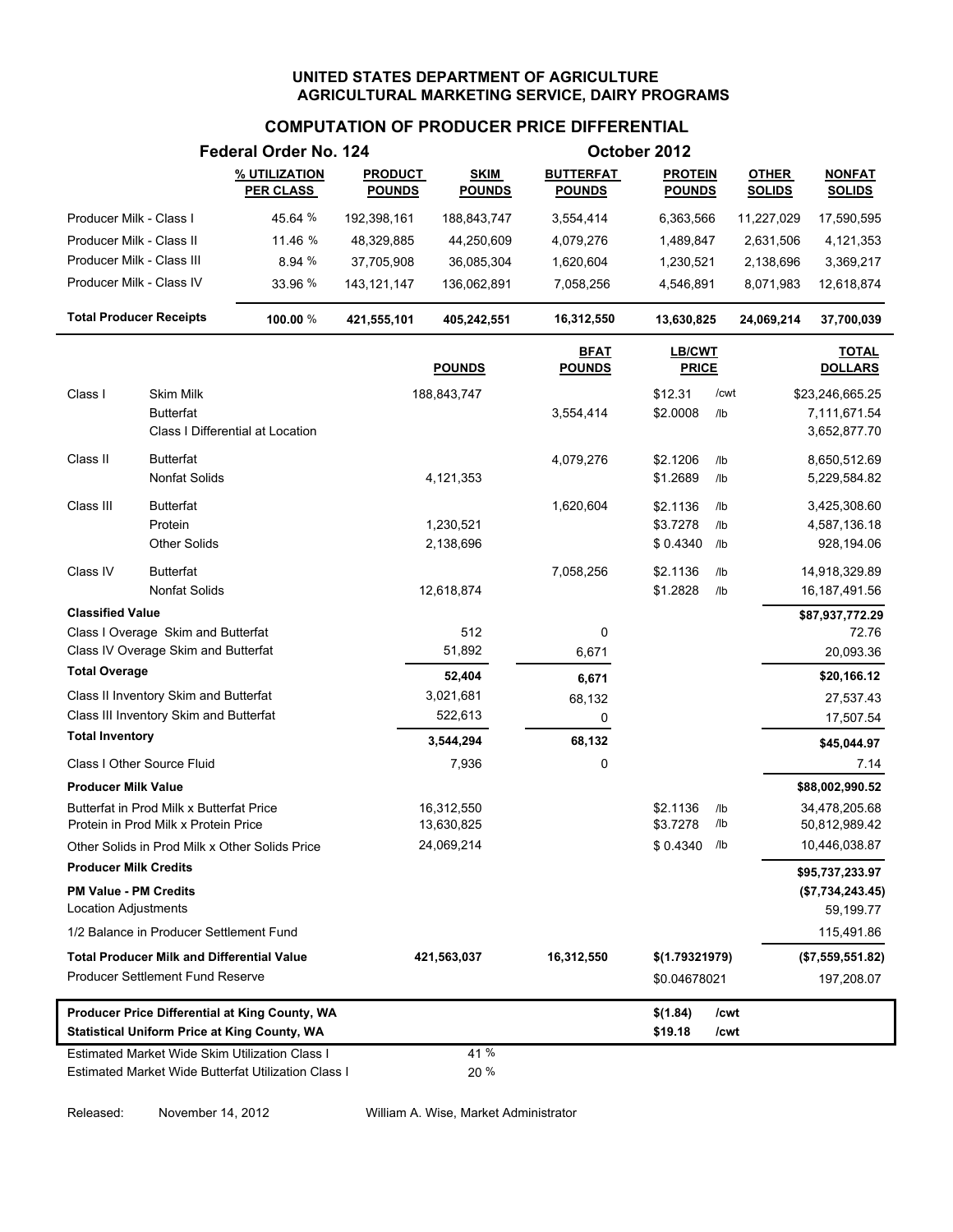# **COMPUTATION OF PRODUCER PRICE DIFFERENTIAL**

|                                                      |                                                                                       | Federal Order No. 124                                                                                 |                                 |                              |                                   | October 2012                    |              |                               |                                |
|------------------------------------------------------|---------------------------------------------------------------------------------------|-------------------------------------------------------------------------------------------------------|---------------------------------|------------------------------|-----------------------------------|---------------------------------|--------------|-------------------------------|--------------------------------|
|                                                      |                                                                                       | % UTILIZATION<br><b>PER CLASS</b>                                                                     | <b>PRODUCT</b><br><b>POUNDS</b> | <b>SKIM</b><br><b>POUNDS</b> | <b>BUTTERFAT</b><br><b>POUNDS</b> | <b>PROTEIN</b><br><b>POUNDS</b> |              | <b>OTHER</b><br><b>SOLIDS</b> | <b>NONFAT</b><br><b>SOLIDS</b> |
| Producer Milk - Class I                              |                                                                                       | 45.64 %                                                                                               | 192,398,161                     | 188,843,747                  | 3,554,414                         | 6,363,566                       |              | 11,227,029                    | 17,590,595                     |
| Producer Milk - Class II                             |                                                                                       | 11.46 %                                                                                               | 48,329,885                      | 44,250,609                   | 4,079,276                         | 1,489,847                       |              | 2,631,506                     | 4,121,353                      |
| Producer Milk - Class III                            |                                                                                       | 8.94 %                                                                                                | 37,705,908                      | 36,085,304                   | 1,620,604                         | 1,230,521                       |              | 2,138,696                     | 3,369,217                      |
| Producer Milk - Class IV                             |                                                                                       | 33.96 %                                                                                               | 143, 121, 147                   | 136,062,891                  | 7,058,256                         | 4,546,891                       |              | 8,071,983                     | 12,618,874                     |
| <b>Total Producer Receipts</b>                       |                                                                                       | 100.00 %                                                                                              | 421,555,101                     | 405,242,551                  | 16,312,550                        | 13,630,825                      |              | 24,069,214                    | 37,700,039                     |
|                                                      |                                                                                       |                                                                                                       |                                 | <b>POUNDS</b>                | <u>BFAT</u><br><b>POUNDS</b>      | <b>LB/CWT</b><br><b>PRICE</b>   |              |                               | <b>TOTAL</b><br><b>DOLLARS</b> |
| Class I                                              | <b>Skim Milk</b>                                                                      |                                                                                                       |                                 | 188,843,747                  |                                   | \$12.31                         | /cwt         |                               | \$23,246,665.25                |
|                                                      | <b>Butterfat</b>                                                                      |                                                                                                       |                                 |                              | 3,554,414                         | \$2.0008                        | /lb          |                               | 7,111,671.54                   |
|                                                      |                                                                                       | Class I Differential at Location                                                                      |                                 |                              |                                   |                                 |              |                               | 3,652,877.70                   |
| Class II                                             | <b>Butterfat</b>                                                                      |                                                                                                       |                                 |                              | 4,079,276                         | \$2.1206                        | /lb          |                               | 8,650,512.69                   |
|                                                      | Nonfat Solids                                                                         |                                                                                                       |                                 | 4,121,353                    |                                   | \$1.2689                        | /lb          |                               | 5,229,584.82                   |
| Class III                                            | <b>Butterfat</b>                                                                      |                                                                                                       |                                 |                              | 1,620,604                         | \$2.1136                        | /lb          |                               | 3,425,308.60                   |
|                                                      | Protein                                                                               |                                                                                                       |                                 | 1,230,521                    |                                   | \$3.7278                        | /lb          |                               | 4,587,136.18                   |
|                                                      | <b>Other Solids</b>                                                                   |                                                                                                       |                                 | 2,138,696                    |                                   | \$0.4340                        | /lb          |                               | 928,194.06                     |
| Class IV                                             | <b>Butterfat</b>                                                                      |                                                                                                       |                                 |                              | 7,058,256                         | \$2.1136                        | /lb          |                               | 14,918,329.89                  |
|                                                      | <b>Nonfat Solids</b>                                                                  |                                                                                                       |                                 | 12,618,874                   |                                   | \$1.2828                        | /lb          |                               | 16, 187, 491.56                |
| <b>Classified Value</b>                              |                                                                                       |                                                                                                       |                                 |                              |                                   |                                 |              |                               | \$87,937,772.29                |
|                                                      | Class I Overage Skim and Butterfat                                                    |                                                                                                       |                                 | 512                          | 0                                 |                                 |              |                               | 72.76                          |
|                                                      | Class IV Overage Skim and Butterfat                                                   |                                                                                                       |                                 | 51,892                       | 6,671                             |                                 |              |                               | 20,093.36                      |
| <b>Total Overage</b>                                 |                                                                                       |                                                                                                       |                                 | 52,404                       | 6,671                             |                                 |              |                               | \$20,166.12                    |
|                                                      | Class II Inventory Skim and Butterfat                                                 |                                                                                                       |                                 | 3,021,681                    | 68,132                            |                                 |              |                               | 27,537.43                      |
| <b>Total Inventory</b>                               | Class III Inventory Skim and Butterfat                                                |                                                                                                       |                                 | 522,613                      | 0                                 |                                 |              |                               | 17,507.54                      |
|                                                      |                                                                                       |                                                                                                       |                                 | 3,544,294                    | 68,132                            |                                 |              |                               | \$45,044.97                    |
|                                                      | Class I Other Source Fluid                                                            |                                                                                                       |                                 | 7,936                        | 0                                 |                                 |              |                               | 7.14                           |
| <b>Producer Milk Value</b>                           |                                                                                       |                                                                                                       |                                 |                              |                                   |                                 |              |                               | \$88,002,990.52                |
|                                                      | Butterfat in Prod Milk x Butterfat Price<br>Protein in Prod Milk x Protein Price      |                                                                                                       |                                 | 16,312,550<br>13,630,825     |                                   | \$2.1136<br>\$3.7278            | /lb<br>/lb   |                               | 34,478,205.68<br>50,812,989.42 |
|                                                      |                                                                                       | Other Solids in Prod Milk x Other Solids Price                                                        |                                 | 24,069,214                   |                                   | $$0.4340$ /lb                   |              |                               | 10,446,038.87                  |
| <b>Producer Milk Credits</b>                         |                                                                                       |                                                                                                       |                                 |                              |                                   |                                 |              |                               | \$95,737,233.97                |
| <b>PM Value - PM Credits</b><br>Location Adjustments |                                                                                       |                                                                                                       |                                 |                              |                                   |                                 |              |                               | (\$7,734,243.45)<br>59,199.77  |
|                                                      | 1/2 Balance in Producer Settlement Fund                                               |                                                                                                       |                                 |                              |                                   |                                 |              |                               | 115,491.86                     |
|                                                      |                                                                                       |                                                                                                       |                                 |                              |                                   |                                 |              |                               |                                |
|                                                      | <b>Total Producer Milk and Differential Value</b><br>Producer Settlement Fund Reserve |                                                                                                       |                                 | 421,563,037                  | 16,312,550                        | \$(1.79321979)                  |              |                               | (\$7,559,551.82)               |
|                                                      |                                                                                       |                                                                                                       |                                 |                              |                                   | \$0.04678021                    |              |                               | 197,208.07                     |
|                                                      |                                                                                       | Producer Price Differential at King County, WA<br><b>Statistical Uniform Price at King County, WA</b> |                                 |                              |                                   | \$(1.84)<br>\$19.18             | /cwt<br>/cwt |                               |                                |
|                                                      |                                                                                       | Estimated Market Wide Skim Utilization Class I                                                        |                                 | 41 %                         |                                   |                                 |              |                               |                                |
|                                                      |                                                                                       | Estimated Market Wide Butterfat Utilization Class I                                                   |                                 | 20 %                         |                                   |                                 |              |                               |                                |

Released: November 14, 2012 William A. Wise, Market Administrator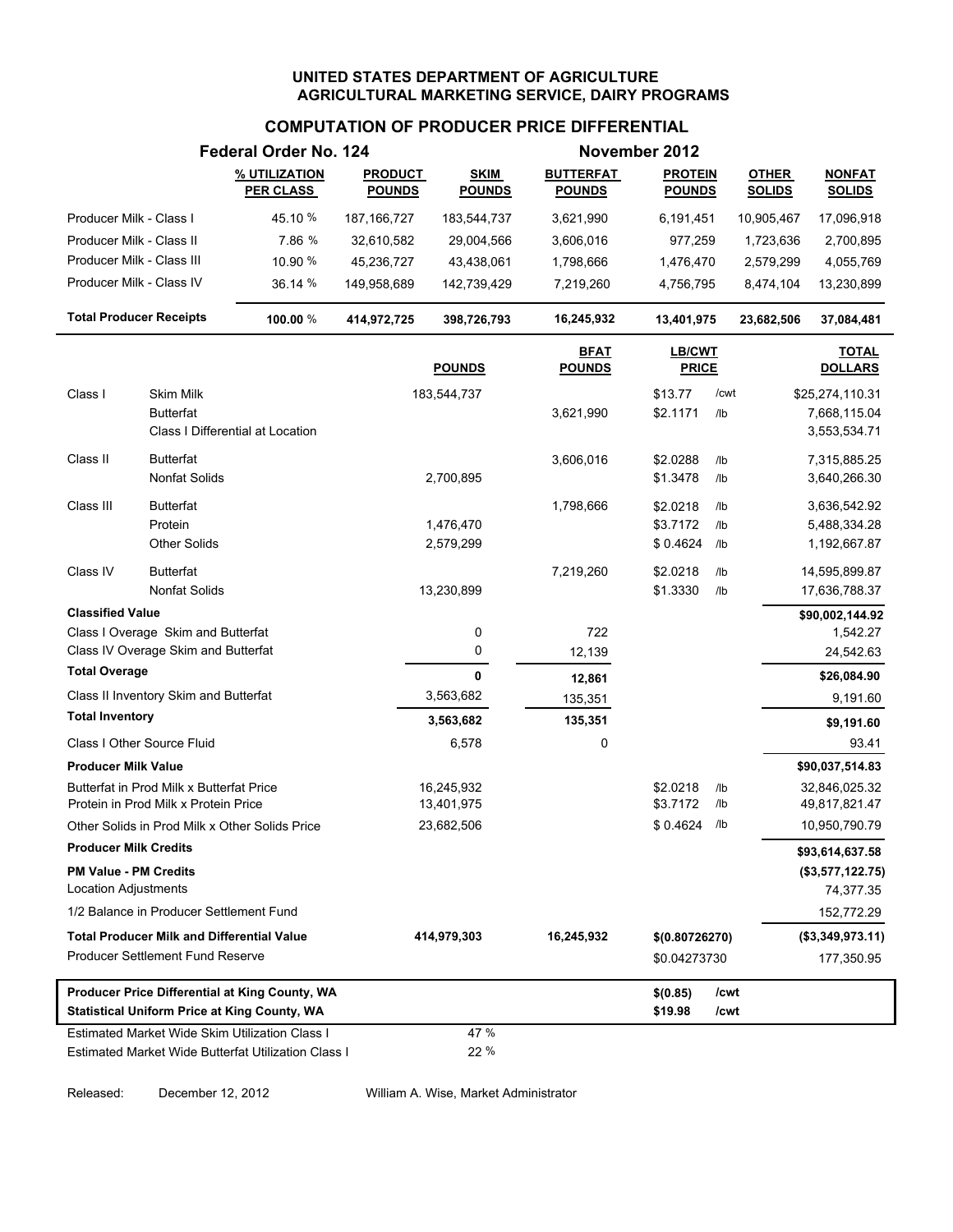## **COMPUTATION OF PRODUCER PRICE DIFFERENTIAL**

|                                |                                                                                  | Federal Order No. 124                                                                                 |                                 |                              |                                   | November 2012                   |                 |                               |                                |
|--------------------------------|----------------------------------------------------------------------------------|-------------------------------------------------------------------------------------------------------|---------------------------------|------------------------------|-----------------------------------|---------------------------------|-----------------|-------------------------------|--------------------------------|
|                                |                                                                                  | % UTILIZATION<br><b>PER CLASS</b>                                                                     | <b>PRODUCT</b><br><b>POUNDS</b> | <b>SKIM</b><br><b>POUNDS</b> | <b>BUTTERFAT</b><br><b>POUNDS</b> | <b>PROTEIN</b><br><b>POUNDS</b> |                 | <b>OTHER</b><br><b>SOLIDS</b> | <b>NONFAT</b><br><b>SOLIDS</b> |
| Producer Milk - Class I        |                                                                                  | 45.10 %                                                                                               | 187, 166, 727                   | 183,544,737                  | 3,621,990                         | 6,191,451                       |                 | 10,905,467                    | 17,096,918                     |
| Producer Milk - Class II       |                                                                                  | 7.86 %                                                                                                | 32,610,582                      | 29,004,566                   | 3,606,016                         | 977,259                         |                 | 1,723,636                     | 2,700,895                      |
| Producer Milk - Class III      |                                                                                  | 10.90 %                                                                                               | 45,236,727                      | 43,438,061                   | 1,798,666                         | 1,476,470                       |                 | 2,579,299                     | 4,055,769                      |
| Producer Milk - Class IV       |                                                                                  | 36.14 %                                                                                               | 149,958,689                     | 142,739,429                  | 7,219,260                         | 4,756,795                       |                 | 8,474,104                     | 13,230,899                     |
| <b>Total Producer Receipts</b> |                                                                                  | 100.00 %                                                                                              | 414,972,725                     | 398,726,793                  | 16,245,932                        | 13,401,975                      |                 | 23,682,506                    | 37,084,481                     |
|                                |                                                                                  |                                                                                                       |                                 | <b>POUNDS</b>                | <b>BFAT</b><br><b>POUNDS</b>      | LB/CWT<br><b>PRICE</b>          |                 |                               | <b>TOTAL</b><br><b>DOLLARS</b> |
| Class I                        | Skim Milk                                                                        |                                                                                                       |                                 | 183,544,737                  |                                   | \$13.77                         | /cwt            |                               | \$25,274,110.31                |
|                                | <b>Butterfat</b>                                                                 | Class I Differential at Location                                                                      |                                 |                              | 3,621,990                         | \$2.1171                        | /lb             |                               | 7,668,115.04<br>3,553,534.71   |
| Class II                       | <b>Butterfat</b>                                                                 |                                                                                                       |                                 |                              | 3,606,016                         | \$2.0288                        | /lb             |                               | 7,315,885.25                   |
|                                | <b>Nonfat Solids</b>                                                             |                                                                                                       |                                 | 2,700,895                    |                                   | \$1.3478                        | /lb             |                               | 3,640,266.30                   |
| Class III                      | <b>Butterfat</b>                                                                 |                                                                                                       |                                 |                              | 1,798,666                         | \$2.0218                        | I <sub>1</sub>  |                               | 3,636,542.92                   |
|                                | Protein                                                                          |                                                                                                       |                                 | 1,476,470                    |                                   | \$3.7172                        | /lb             |                               | 5,488,334.28                   |
|                                | <b>Other Solids</b>                                                              |                                                                                                       |                                 | 2,579,299                    |                                   | \$0.4624                        | /lb             |                               | 1,192,667.87                   |
| Class IV                       | <b>Butterfat</b>                                                                 |                                                                                                       |                                 |                              | 7,219,260                         | \$2.0218                        | /1 <sub>b</sub> |                               | 14,595,899.87                  |
|                                | <b>Nonfat Solids</b>                                                             |                                                                                                       |                                 | 13,230,899                   |                                   | \$1.3330                        | $/$ lb          |                               | 17,636,788.37                  |
| <b>Classified Value</b>        |                                                                                  |                                                                                                       |                                 |                              |                                   |                                 |                 |                               | \$90,002,144.92                |
|                                | Class I Overage Skim and Butterfat                                               |                                                                                                       |                                 | 0                            | 722                               |                                 |                 |                               | 1,542.27                       |
|                                | Class IV Overage Skim and Butterfat                                              |                                                                                                       |                                 | 0                            | 12,139                            |                                 |                 |                               | 24,542.63                      |
| <b>Total Overage</b>           |                                                                                  |                                                                                                       |                                 | $\mathbf{0}$                 | 12,861                            |                                 |                 |                               | \$26,084.90                    |
|                                | Class II Inventory Skim and Butterfat                                            |                                                                                                       |                                 | 3,563,682                    | 135,351                           |                                 |                 |                               | 9,191.60                       |
| <b>Total Inventory</b>         |                                                                                  |                                                                                                       |                                 | 3,563,682                    | 135,351                           |                                 |                 |                               | \$9,191.60                     |
|                                | Class I Other Source Fluid                                                       |                                                                                                       |                                 | 6,578                        | 0                                 |                                 |                 |                               | 93.41                          |
| <b>Producer Milk Value</b>     |                                                                                  |                                                                                                       |                                 |                              |                                   |                                 |                 |                               | \$90,037,514.83                |
|                                | Butterfat in Prod Milk x Butterfat Price<br>Protein in Prod Milk x Protein Price |                                                                                                       |                                 | 16,245,932<br>13,401,975     |                                   | \$2.0218<br>\$3.7172            | /lb<br>/lb      |                               | 32,846,025.32<br>49,817,821.47 |
|                                |                                                                                  | Other Solids in Prod Milk x Other Solids Price                                                        |                                 | 23,682,506                   |                                   | \$0.4624                        | /lb             |                               | 10,950,790.79                  |
| <b>Producer Milk Credits</b>   |                                                                                  |                                                                                                       |                                 |                              |                                   |                                 |                 |                               | \$93,614,637.58                |
| <b>PM Value - PM Credits</b>   |                                                                                  |                                                                                                       |                                 |                              |                                   |                                 |                 |                               | (\$3,577,122.75)               |
| <b>Location Adjustments</b>    |                                                                                  |                                                                                                       |                                 |                              |                                   |                                 |                 |                               | 74,377.35                      |
|                                | 1/2 Balance in Producer Settlement Fund                                          |                                                                                                       |                                 |                              |                                   |                                 |                 |                               | 152,772.29                     |
|                                | <b>Total Producer Milk and Differential Value</b>                                |                                                                                                       |                                 | 414,979,303                  | 16,245,932                        | \$(0.80726270)                  |                 |                               | (\$3,349,973.11)               |
|                                | <b>Producer Settlement Fund Reserve</b>                                          |                                                                                                       |                                 |                              |                                   | \$0.04273730                    |                 |                               | 177,350.95                     |
|                                |                                                                                  | Producer Price Differential at King County, WA<br><b>Statistical Uniform Price at King County, WA</b> |                                 |                              |                                   | \$(0.85)<br>\$19.98             | /cwt<br>/cwt    |                               |                                |
|                                |                                                                                  | Estimated Market Wide Skim Utilization Class I                                                        |                                 | 47 %                         |                                   |                                 |                 |                               |                                |
|                                |                                                                                  | Estimated Market Wide Butterfat Utilization Class I                                                   |                                 | 22 %                         |                                   |                                 |                 |                               |                                |

Released: December 12, 2012 William A. Wise, Market Administrator